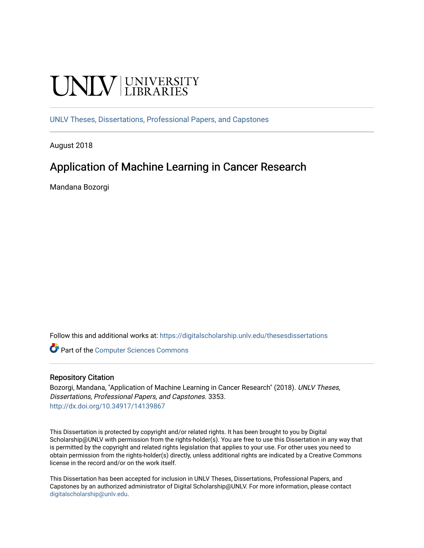# **UNIVERSITY**

[UNLV Theses, Dissertations, Professional Papers, and Capstones](https://digitalscholarship.unlv.edu/thesesdissertations)

August 2018

### Application of Machine Learning in Cancer Research

Mandana Bozorgi

Follow this and additional works at: [https://digitalscholarship.unlv.edu/thesesdissertations](https://digitalscholarship.unlv.edu/thesesdissertations?utm_source=digitalscholarship.unlv.edu%2Fthesesdissertations%2F3353&utm_medium=PDF&utm_campaign=PDFCoverPages)

**Part of the [Computer Sciences Commons](http://network.bepress.com/hgg/discipline/142?utm_source=digitalscholarship.unlv.edu%2Fthesesdissertations%2F3353&utm_medium=PDF&utm_campaign=PDFCoverPages)** 

#### Repository Citation

Bozorgi, Mandana, "Application of Machine Learning in Cancer Research" (2018). UNLV Theses, Dissertations, Professional Papers, and Capstones. 3353. <http://dx.doi.org/10.34917/14139867>

This Dissertation is protected by copyright and/or related rights. It has been brought to you by Digital Scholarship@UNLV with permission from the rights-holder(s). You are free to use this Dissertation in any way that is permitted by the copyright and related rights legislation that applies to your use. For other uses you need to obtain permission from the rights-holder(s) directly, unless additional rights are indicated by a Creative Commons license in the record and/or on the work itself.

This Dissertation has been accepted for inclusion in UNLV Theses, Dissertations, Professional Papers, and Capstones by an authorized administrator of Digital Scholarship@UNLV. For more information, please contact [digitalscholarship@unlv.edu](mailto:digitalscholarship@unlv.edu).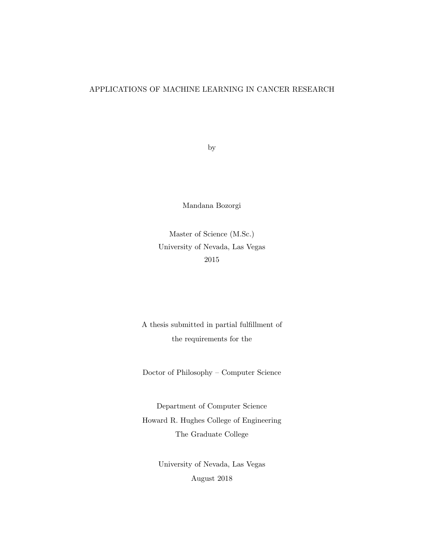#### APPLICATIONS OF MACHINE LEARNING IN CANCER RESEARCH

by

Mandana Bozorgi

Master of Science (M.Sc.) University of Nevada, Las Vegas 2015

A thesis submitted in partial fulfillment of the requirements for the

Doctor of Philosophy – Computer Science

Department of Computer Science Howard R. Hughes College of Engineering The Graduate College

> University of Nevada, Las Vegas August 2018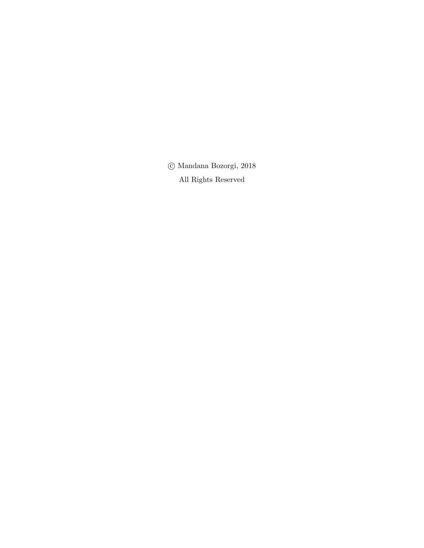$\odot$ Mandana Bozorgi, 2018 All Rights Reserved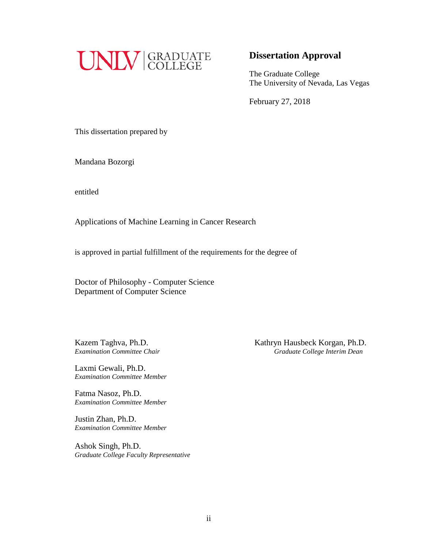

#### **Dissertation Approval**

The Graduate College The University of Nevada, Las Vegas

February 27, 2018

This dissertation prepared by

Mandana Bozorgi

entitled

Applications of Machine Learning in Cancer Research

is approved in partial fulfillment of the requirements for the degree of

Doctor of Philosophy - Computer Science Department of Computer Science

Laxmi Gewali, Ph.D. *Examination Committee Member*

Fatma Nasoz, Ph.D. *Examination Committee Member*

Justin Zhan, Ph.D. *Examination Committee Member*

Ashok Singh, Ph.D. *Graduate College Faculty Representative*

Kazem Taghva, Ph.D. *Kathryn Hausbeck Korgan, Ph.D. Examination Committee Chair Graduate College Interim Dean*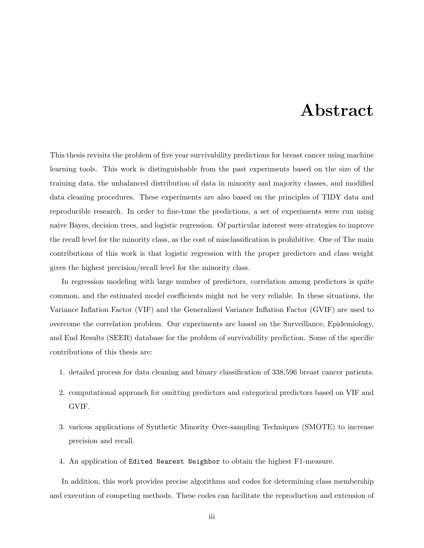### Abstract

This thesis revisits the problem of five year survivability predictions for breast cancer using machine learning tools. This work is distinguishable from the past experiments based on the size of the training data, the unbalanced distribution of data in minority and majority classes, and modified data cleaning procedures. These experiments are also based on the principles of TIDY data and reproducible research. In order to fine-tune the predictions, a set of experiments were run using naive Bayes, decision trees, and logistic regression. Of particular interest were strategies to improve the recall level for the minority class, as the cost of misclassification is prohibitive. One of The main contributions of this work is that logistic regression with the proper predictors and class weight gives the highest precision/recall level for the minority class.

In regression modeling with large number of predictors, correlation among predictors is quite common, and the estimated model coefficients might not be very reliable. In these situations, the Variance Inflation Factor (VIF) and the Generalized Variance Inflation Factor (GVIF) are used to overcome the correlation problem. Our experiments are based on the Surveillance, Epidemiology, and End Results (SEER) database for the problem of survivability prediction. Some of the specific contributions of this thesis are:

- 1. detailed process for data cleaning and binary classification of 338,596 breast cancer patients.
- 2. computational approach for omitting predictors and categorical predictors based on VIF and GVIF.
- 3. various applications of Synthetic Minority Over-sampling Techniques (SMOTE) to increase precision and recall.
- 4. An application of Edited Nearest Neighbor to obtain the highest F1-measure.

In addition, this work provides precise algorithms and codes for determining class membership and execution of competing methods. These codes can facilitate the reproduction and extension of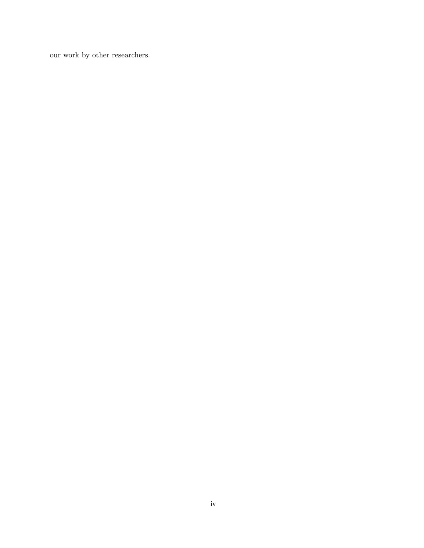our work by other researchers.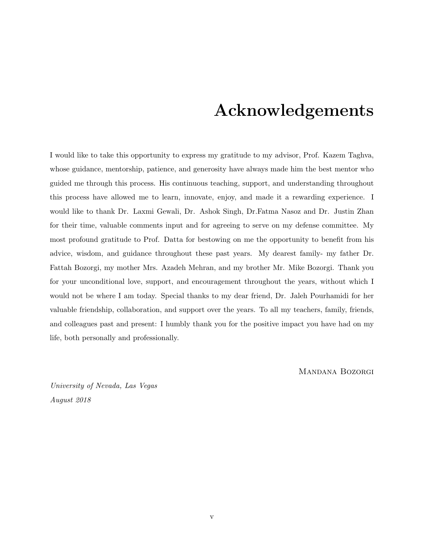### Acknowledgements

I would like to take this opportunity to express my gratitude to my advisor, Prof. Kazem Taghva, whose guidance, mentorship, patience, and generosity have always made him the best mentor who guided me through this process. His continuous teaching, support, and understanding throughout this process have allowed me to learn, innovate, enjoy, and made it a rewarding experience. I would like to thank Dr. Laxmi Gewali, Dr. Ashok Singh, Dr.Fatma Nasoz and Dr. Justin Zhan for their time, valuable comments input and for agreeing to serve on my defense committee. My most profound gratitude to Prof. Datta for bestowing on me the opportunity to benefit from his advice, wisdom, and guidance throughout these past years. My dearest family- my father Dr. Fattah Bozorgi, my mother Mrs. Azadeh Mehran, and my brother Mr. Mike Bozorgi. Thank you for your unconditional love, support, and encouragement throughout the years, without which I would not be where I am today. Special thanks to my dear friend, Dr. Jaleh Pourhamidi for her valuable friendship, collaboration, and support over the years. To all my teachers, family, friends, and colleagues past and present: I humbly thank you for the positive impact you have had on my life, both personally and professionally.

Mandana Bozorgi

University of Nevada, Las Vegas August 2018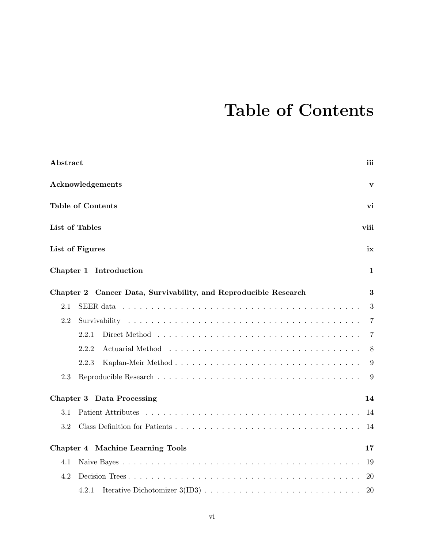## Table of Contents

| Abstract                                                        |              |  |  |  |  |  |  | iii            |
|-----------------------------------------------------------------|--------------|--|--|--|--|--|--|----------------|
| Acknowledgements                                                | $\mathbf{V}$ |  |  |  |  |  |  |                |
| <b>Table of Contents</b>                                        |              |  |  |  |  |  |  | vi             |
| List of Tables                                                  |              |  |  |  |  |  |  | viii           |
| List of Figures                                                 |              |  |  |  |  |  |  | ix             |
| Chapter 1 Introduction                                          |              |  |  |  |  |  |  | 1              |
| Chapter 2 Cancer Data, Survivability, and Reproducible Research |              |  |  |  |  |  |  | 3              |
| 2.1                                                             |              |  |  |  |  |  |  | 3              |
| 2.2                                                             |              |  |  |  |  |  |  | $\overline{7}$ |
| 2.2.1                                                           |              |  |  |  |  |  |  | 7              |
| 2.2.2                                                           |              |  |  |  |  |  |  | 8              |
| 2.2.3                                                           |              |  |  |  |  |  |  | 9              |
| 2.3                                                             |              |  |  |  |  |  |  | 9              |
| Chapter 3 Data Processing                                       |              |  |  |  |  |  |  | 14             |
| 3.1                                                             |              |  |  |  |  |  |  | 14             |
| 3.2                                                             |              |  |  |  |  |  |  | 14             |
| Chapter 4 Machine Learning Tools                                |              |  |  |  |  |  |  | 17             |
| 4.1                                                             |              |  |  |  |  |  |  | 19             |
| 4.2                                                             |              |  |  |  |  |  |  | 20             |
| 4.2.1                                                           |              |  |  |  |  |  |  | 20             |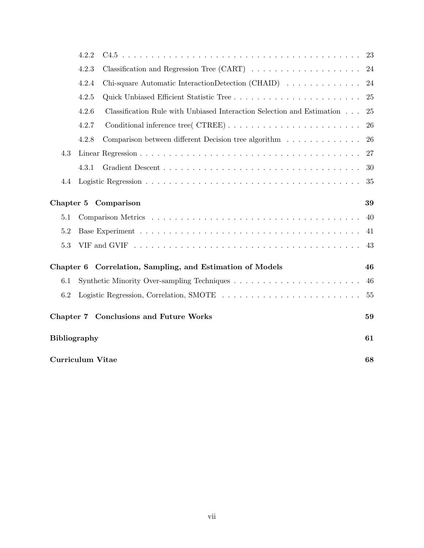|                               | 4.2.2                                                            |                                                                        | 23 |  |  |  |
|-------------------------------|------------------------------------------------------------------|------------------------------------------------------------------------|----|--|--|--|
|                               | 4.2.3<br>24                                                      |                                                                        |    |  |  |  |
|                               | Chi-square Automatic InteractionDetection (CHAID)<br>4.2.4<br>24 |                                                                        |    |  |  |  |
|                               | 4.2.5                                                            |                                                                        | 25 |  |  |  |
|                               | 4.2.6                                                            | Classification Rule with Unbiased Interaction Selection and Estimation | 25 |  |  |  |
|                               | 4.2.7                                                            |                                                                        | 26 |  |  |  |
|                               | 4.2.8                                                            | Comparison between different Decision tree algorithm                   | 26 |  |  |  |
| 4.3                           |                                                                  |                                                                        | 27 |  |  |  |
|                               | 4.3.1                                                            |                                                                        | 30 |  |  |  |
| 4.4                           |                                                                  |                                                                        | 35 |  |  |  |
|                               |                                                                  | Chapter 5 Comparison                                                   | 39 |  |  |  |
| 5.1                           | 40                                                               |                                                                        |    |  |  |  |
| 5.2                           | 41                                                               |                                                                        |    |  |  |  |
| 5.3<br>43                     |                                                                  |                                                                        |    |  |  |  |
|                               |                                                                  | Chapter 6 Correlation, Sampling, and Estimation of Models              | 46 |  |  |  |
| 6.1                           | 46                                                               |                                                                        |    |  |  |  |
| 6.2<br>55                     |                                                                  |                                                                        |    |  |  |  |
|                               |                                                                  | Chapter 7 Conclusions and Future Works                                 | 59 |  |  |  |
| <b>Bibliography</b><br>61     |                                                                  |                                                                        |    |  |  |  |
| <b>Curriculum Vitae</b><br>68 |                                                                  |                                                                        |    |  |  |  |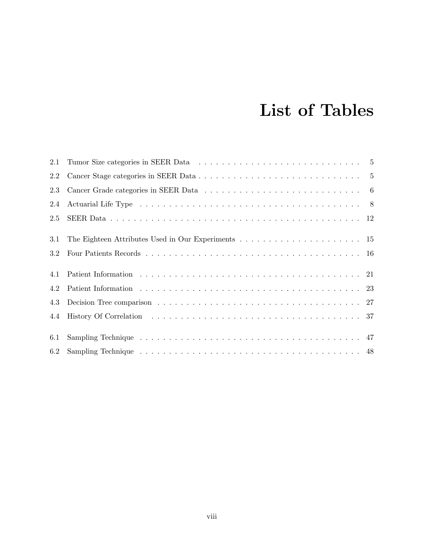## List of Tables

| $2.1\,$ |  |
|---------|--|
| 2.2     |  |
| 2.3     |  |
| 2.4     |  |
| 2.5     |  |
| 3.1     |  |
| 3.2     |  |
|         |  |
| 4.1     |  |
| 4.2     |  |
| 4.3     |  |
| 4.4     |  |
|         |  |
| 6.1     |  |
| 6.2     |  |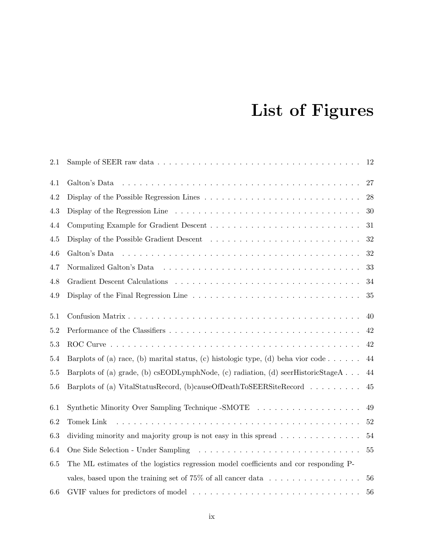# List of Figures

| 2.1     |                                                                                                                | 12 |
|---------|----------------------------------------------------------------------------------------------------------------|----|
| 4.1     | Galton's Data                                                                                                  | 27 |
| 4.2     |                                                                                                                | 28 |
| 4.3     | Display of the Regression Line $\dots \dots \dots \dots \dots \dots \dots \dots \dots \dots \dots \dots \dots$ | 30 |
| 4.4     |                                                                                                                | 31 |
| 4.5     |                                                                                                                | 32 |
| 4.6     |                                                                                                                | 32 |
| 4.7     |                                                                                                                | 33 |
| 4.8     |                                                                                                                | 34 |
| 4.9     |                                                                                                                | 35 |
| $5.1\,$ |                                                                                                                | 40 |
| $5.2\,$ |                                                                                                                | 42 |
| 5.3     |                                                                                                                | 42 |
| $5.4\,$ | Barplots of (a) race, (b) marital status, (c) histologic type, (d) beha vior code                              | 44 |
| $5.5\,$ | Barplots of (a) grade, (b) csEODLymphNode, (c) radiation, (d) seerHistoricStageA                               | 44 |
| 5.6     | Barplots of (a) VitalStatusRecord, (b)causeOfDeathToSEERSiteRecord                                             | 45 |
| 6.1     | Synthetic Minority Over Sampling Technique -SMOTE                                                              | 49 |
| 6.2     | Tomek Link                                                                                                     | 52 |
| $6.3\,$ | dividing minority and majority group is not easy in this spread $\dots \dots \dots \dots$                      | 54 |
| 6.4     |                                                                                                                | 55 |
| 6.5     | The ML estimates of the logistics regression model coefficients and cor responding P-                          |    |
|         | vales, based upon the training set of $75\%$ of all cancer data $\ldots \ldots \ldots \ldots \ldots$           | 56 |
| 6.6     |                                                                                                                | 56 |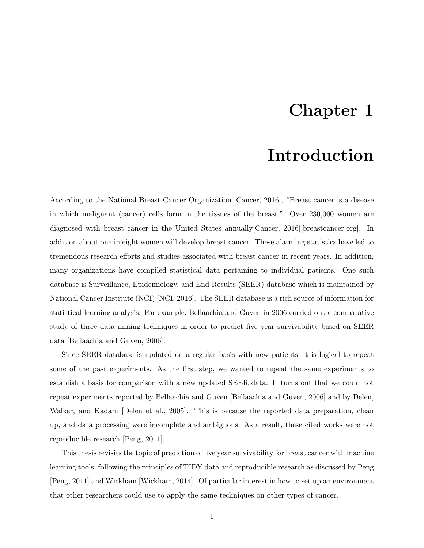### Chapter 1

### Introduction

According to the National Breast Cancer Organization [Cancer, 2016], "Breast cancer is a disease in which malignant (cancer) cells form in the tissues of the breast." Over 230,000 women are diagnosed with breast cancer in the United States annually[Cancer, 2016][breastcancer.org]. In addition about one in eight women will develop breast cancer. These alarming statistics have led to tremendous research efforts and studies associated with breast cancer in recent years. In addition, many organizations have compiled statistical data pertaining to individual patients. One such database is Surveillance, Epidemiology, and End Results (SEER) database which is maintained by National Cancer Institute (NCI) [NCI, 2016]. The SEER database is a rich source of information for statistical learning analysis. For example, Bellaachia and Guven in 2006 carried out a comparative study of three data mining techniques in order to predict five year survivability based on SEER data [Bellaachia and Guven, 2006].

Since SEER database is updated on a regular basis with new patients, it is logical to repeat some of the past experiments. As the first step, we wanted to repeat the same experiments to establish a basis for comparison with a new updated SEER data. It turns out that we could not repeat experiments reported by Bellaachia and Guven [Bellaachia and Guven, 2006] and by Delen, Walker, and Kadam [Delen et al., 2005]. This is because the reported data preparation, clean up, and data processing were incomplete and ambiguous. As a result, these cited works were not reproducible research [Peng, 2011].

This thesis revisits the topic of prediction of five year survivability for breast cancer with machine learning tools, following the principles of TIDY data and reproducible research as discussed by Peng [Peng, 2011] and Wickham [Wickham, 2014]. Of particular interest in how to set up an environment that other researchers could use to apply the same techniques on other types of cancer.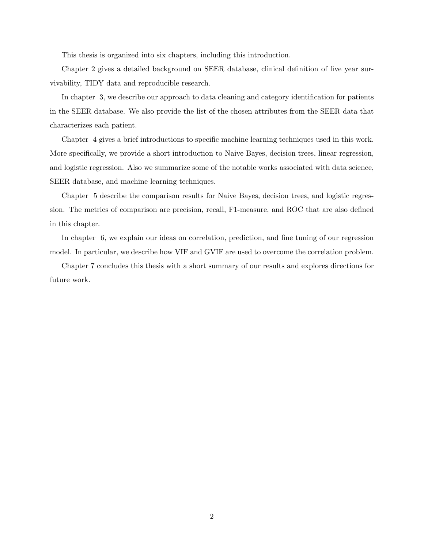This thesis is organized into six chapters, including this introduction.

Chapter 2 gives a detailed background on SEER database, clinical definition of five year survivability, TIDY data and reproducible research.

In chapter 3, we describe our approach to data cleaning and category identification for patients in the SEER database. We also provide the list of the chosen attributes from the SEER data that characterizes each patient.

Chapter 4 gives a brief introductions to specific machine learning techniques used in this work. More specifically, we provide a short introduction to Naive Bayes, decision trees, linear regression, and logistic regression. Also we summarize some of the notable works associated with data science, SEER database, and machine learning techniques.

Chapter 5 describe the comparison results for Naive Bayes, decision trees, and logistic regression. The metrics of comparison are precision, recall, F1-measure, and ROC that are also defined in this chapter.

In chapter 6, we explain our ideas on correlation, prediction, and fine tuning of our regression model. In particular, we describe how VIF and GVIF are used to overcome the correlation problem.

Chapter 7 concludes this thesis with a short summary of our results and explores directions for future work.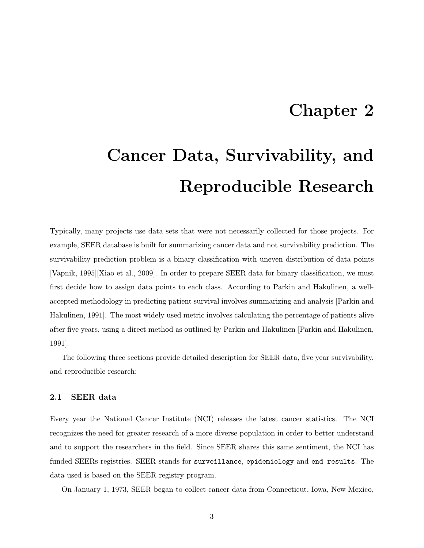### Chapter 2

# Cancer Data, Survivability, and Reproducible Research

Typically, many projects use data sets that were not necessarily collected for those projects. For example, SEER database is built for summarizing cancer data and not survivability prediction. The survivability prediction problem is a binary classification with uneven distribution of data points [Vapnik, 1995][Xiao et al., 2009]. In order to prepare SEER data for binary classification, we must first decide how to assign data points to each class. According to Parkin and Hakulinen, a wellaccepted methodology in predicting patient survival involves summarizing and analysis [Parkin and Hakulinen, 1991]. The most widely used metric involves calculating the percentage of patients alive after five years, using a direct method as outlined by Parkin and Hakulinen [Parkin and Hakulinen, 1991].

The following three sections provide detailed description for SEER data, five year survivability, and reproducible research:

#### 2.1 SEER data

Every year the National Cancer Institute (NCI) releases the latest cancer statistics. The NCI recognizes the need for greater research of a more diverse population in order to better understand and to support the researchers in the field. Since SEER shares this same sentiment, the NCI has funded SEERs registries. SEER stands for surveillance, epidemiology and end results. The data used is based on the SEER registry program.

On January 1, 1973, SEER began to collect cancer data from Connecticut, Iowa, New Mexico,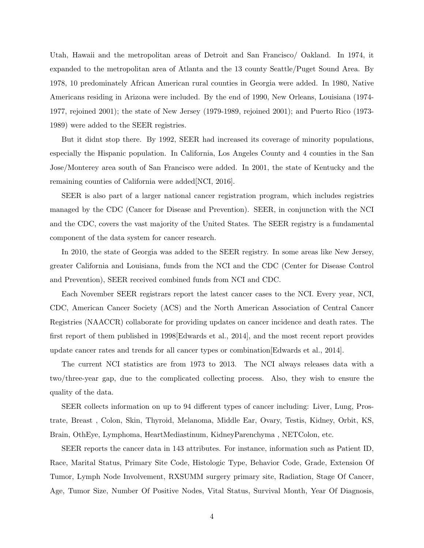Utah, Hawaii and the metropolitan areas of Detroit and San Francisco/ Oakland. In 1974, it expanded to the metropolitan area of Atlanta and the 13 county Seattle/Puget Sound Area. By 1978, 10 predominately African American rural counties in Georgia were added. In 1980, Native Americans residing in Arizona were included. By the end of 1990, New Orleans, Louisiana (1974- 1977, rejoined 2001); the state of New Jersey (1979-1989, rejoined 2001); and Puerto Rico (1973- 1989) were added to the SEER registries.

But it didnt stop there. By 1992, SEER had increased its coverage of minority populations, especially the Hispanic population. In California, Los Angeles County and 4 counties in the San Jose/Monterey area south of San Francisco were added. In 2001, the state of Kentucky and the remaining counties of California were added[NCI, 2016].

SEER is also part of a larger national cancer registration program, which includes registries managed by the CDC (Cancer for Disease and Prevention). SEER, in conjunction with the NCI and the CDC, covers the vast majority of the United States. The SEER registry is a fundamental component of the data system for cancer research.

In 2010, the state of Georgia was added to the SEER registry. In some areas like New Jersey, greater California and Louisiana, funds from the NCI and the CDC (Center for Disease Control and Prevention), SEER received combined funds from NCI and CDC.

Each November SEER registrars report the latest cancer cases to the NCI. Every year, NCI, CDC, American Cancer Society (ACS) and the North American Association of Central Cancer Registries (NAACCR) collaborate for providing updates on cancer incidence and death rates. The first report of them published in 1998[Edwards et al., 2014], and the most recent report provides update cancer rates and trends for all cancer types or combination[Edwards et al., 2014].

The current NCI statistics are from 1973 to 2013. The NCI always releases data with a two/three-year gap, due to the complicated collecting process. Also, they wish to ensure the quality of the data.

SEER collects information on up to 94 different types of cancer including: Liver, Lung, Prostrate, Breast , Colon, Skin, Thyroid, Melanoma, Middle Ear, Ovary, Testis, Kidney, Orbit, KS, Brain, OthEye, Lymphoma, HeartMediastinum, KidneyParenchyma , NETColon, etc.

SEER reports the cancer data in 143 attributes. For instance, information such as Patient ID, Race, Marital Status, Primary Site Code, Histologic Type, Behavior Code, Grade, Extension Of Tumor, Lymph Node Involvement, RXSUMM surgery primary site, Radiation, Stage Of Cancer, Age, Tumor Size, Number Of Positive Nodes, Vital Status, Survival Month, Year Of Diagnosis,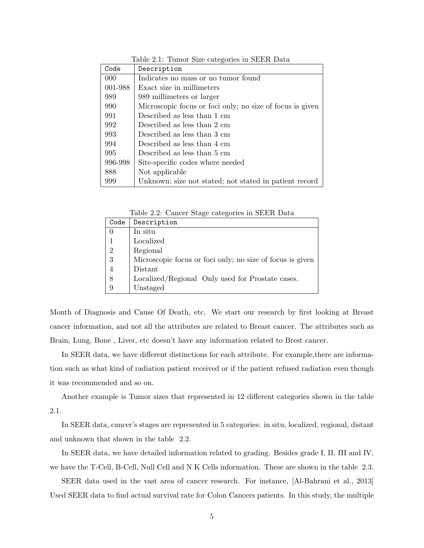| Code    | Description                                               |
|---------|-----------------------------------------------------------|
| 000     | Indicates no mass or no tumor found                       |
| 001-988 | Exact size in millimeters                                 |
| 989     | 989 millimeters or larger                                 |
| 990     | Microscopic focus or foci only; no size of focus is given |
| 991     | Described as less than 1 cm                               |
| 992     | Described as less than 2 cm                               |
| 993     | Described as less than 3 cm                               |
| 994     | Described as less than 4 cm                               |
| 995     | Described as less than 5 cm                               |
| 996-998 | Site-specific codes where needed                          |
| 888     | Not applicable                                            |
| 999     | Unknown; size not stated; not stated in patient record    |

Table 2.1: Tumor Size categories in SEER Data

Table 2.2: Cancer Stage categories in SEER Data

| Code           | Description                                               |
|----------------|-----------------------------------------------------------|
|                | In situ                                                   |
|                | Localized                                                 |
| $\overline{2}$ | Regional                                                  |
| 3              | Microscopic focus or foci only; no size of focus is given |
| $\overline{4}$ | Distant                                                   |
| 8              | Localized/Regional Only used for Prostate cases.          |
| 9              | Unstaged                                                  |

Month of Diagnosis and Cause Of Death, etc. We start our research by first looking at Breast cancer information, and not all the attributes are related to Breast cancer. The attributes such as Brain, Lung, Bone , Liver, etc doesn't have any information related to Brest cancer.

In SEER data, we have different distinctions for each attribute. For example,there are information such as what kind of radiation patient received or if the patient refused radiation even though it was recommended and so on.

Another example is Tumor sizes that represented in 12 different categories shown in the table 2.1.

In SEER data, cancer's stages are represented in 5 categories: in situ, localized, regional, distant and unknown that shown in the table 2.2.

In SEER data, we have detailed information related to grading. Besides grade I, II, III and IV, we have the T-Cell, B-Cell, Null Cell and N K Cells information. These are shown in the table 2.3.

SEER data used in the vast area of cancer research. For instance, [Al-Bahrani et al., 2013] Used SEER data to find actual survival rate for Colon Cancers patients. In this study, the multiple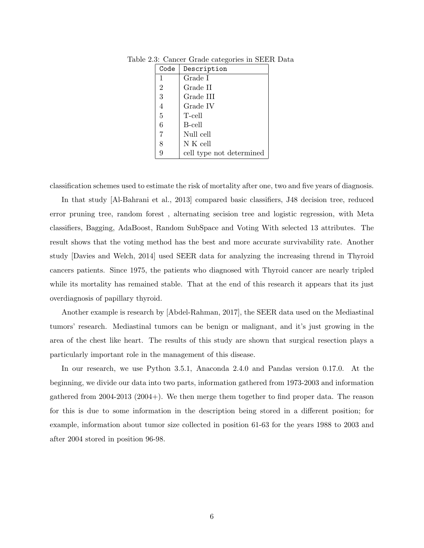| Code           | Description              |
|----------------|--------------------------|
| 1              | Grade I                  |
| $\overline{2}$ | Grade II                 |
| 3              | Grade III                |
| $\overline{4}$ | Grade IV                 |
| 5              | T-cell                   |
| 6              | B-cell                   |
| 7              | Null cell                |
| 8              | N K cell                 |
|                | cell type not determined |

Table 2.3: Cancer Grade categories in SEER Data

classification schemes used to estimate the risk of mortality after one, two and five years of diagnosis.

In that study [Al-Bahrani et al., 2013] compared basic classifiers, J48 decision tree, reduced error pruning tree, random forest , alternating secision tree and logistic regression, with Meta classifiers, Bagging, AdaBoost, Random SubSpace and Voting With selected 13 attributes. The result shows that the voting method has the best and more accurate survivability rate. Another study [Davies and Welch, 2014] used SEER data for analyzing the increasing thrend in Thyroid cancers patients. Since 1975, the patients who diagnosed with Thyroid cancer are nearly tripled while its mortality has remained stable. That at the end of this research it appears that its just overdiagnosis of papillary thyroid.

Another example is research by [Abdel-Rahman, 2017], the SEER data used on the Mediastinal tumors' research. Mediastinal tumors can be benign or malignant, and it's just growing in the area of the chest like heart. The results of this study are shown that surgical resection plays a particularly important role in the management of this disease.

In our research, we use Python 3.5.1, Anaconda 2.4.0 and Pandas version 0.17.0. At the beginning, we divide our data into two parts, information gathered from 1973-2003 and information gathered from 2004-2013 (2004+). We then merge them together to find proper data. The reason for this is due to some information in the description being stored in a different position; for example, information about tumor size collected in position 61-63 for the years 1988 to 2003 and after 2004 stored in position 96-98.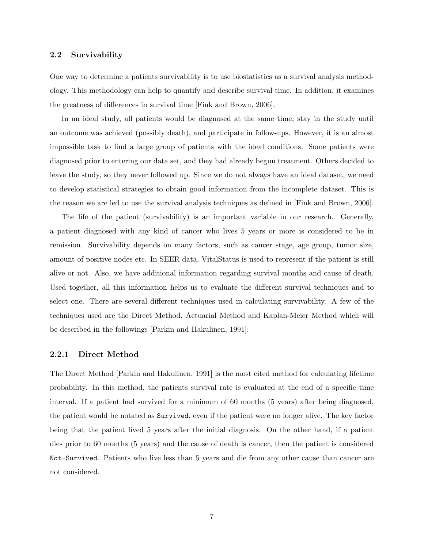#### 2.2 Survivability

One way to determine a patients survivability is to use biostatistics as a survival analysis methodology. This methodology can help to quantify and describe survival time. In addition, it examines the greatness of differences in survival time [Fink and Brown, 2006].

In an ideal study, all patients would be diagnosed at the same time, stay in the study until an outcome was achieved (possibly death), and participate in follow-ups. However, it is an almost impossible task to find a large group of patients with the ideal conditions. Some patients were diagnosed prior to entering our data set, and they had already begun treatment. Others decided to leave the study, so they never followed up. Since we do not always have an ideal dataset, we need to develop statistical strategies to obtain good information from the incomplete dataset. This is the reason we are led to use the survival analysis techniques as defined in [Fink and Brown, 2006].

The life of the patient (survivability) is an important variable in our research. Generally, a patient diagnosed with any kind of cancer who lives 5 years or more is considered to be in remission. Survivability depends on many factors, such as cancer stage, age group, tumor size, amount of positive nodes etc. In SEER data, VitalStatus is used to represent if the patient is still alive or not. Also, we have additional information regarding survival months and cause of death. Used together, all this information helps us to evaluate the different survival techniques and to select one. There are several different techniques used in calculating survivability. A few of the techniques used are the Direct Method, Actuarial Method and Kaplan-Meier Method which will be described in the followings [Parkin and Hakulinen, 1991]:

#### 2.2.1 Direct Method

The Direct Method [Parkin and Hakulinen, 1991] is the most cited method for calculating lifetime probability. In this method, the patients survival rate is evaluated at the end of a specific time interval. If a patient had survived for a minimum of 60 months (5 years) after being diagnosed, the patient would be notated as Survived, even if the patient were no longer alive. The key factor being that the patient lived 5 years after the initial diagnosis. On the other hand, if a patient dies prior to 60 months (5 years) and the cause of death is cancer, then the patient is considered Not-Survived. Patients who live less than 5 years and die from any other cause than cancer are not considered.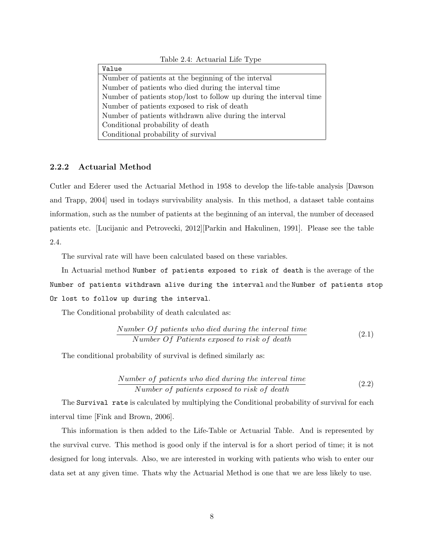| Value                                                              |
|--------------------------------------------------------------------|
| Number of patients at the beginning of the interval                |
| Number of patients who died during the interval time               |
| Number of patients stop/lost to follow up during the interval time |
| Number of patients exposed to risk of death                        |
| Number of patients withdrawn alive during the interval             |
| Conditional probability of death                                   |
| Conditional probability of survival                                |

Table 2.4: Actuarial Life Type

#### 2.2.2 Actuarial Method

Cutler and Ederer used the Actuarial Method in 1958 to develop the life-table analysis [Dawson and Trapp, 2004] used in todays survivability analysis. In this method, a dataset table contains information, such as the number of patients at the beginning of an interval, the number of deceased patients etc. [Lucijanic and Petrovecki, 2012][Parkin and Hakulinen, 1991]. Please see the table 2.4.

The survival rate will have been calculated based on these variables.

In Actuarial method Number of patients exposed to risk of death is the average of the Number of patients withdrawn alive during the interval and the Number of patients stop Or lost to follow up during the interval.

The Conditional probability of death calculated as:

Number 
$$
Of
$$
 patients who died during the interval time  
\nNumber  $Of$  Patients exposed to risk of death\n
$$
(2.1)
$$

The conditional probability of survival is defined similarly as:

Number of patients who died during the interval time  
Number of patients exposed to risk of death\n
$$
(2.2)
$$

The Survival rate is calculated by multiplying the Conditional probability of survival for each interval time [Fink and Brown, 2006].

This information is then added to the Life-Table or Actuarial Table. And is represented by the survival curve. This method is good only if the interval is for a short period of time; it is not designed for long intervals. Also, we are interested in working with patients who wish to enter our data set at any given time. Thats why the Actuarial Method is one that we are less likely to use.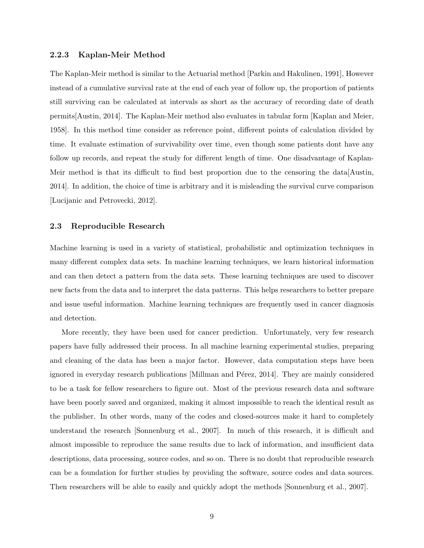#### 2.2.3 Kaplan-Meir Method

The Kaplan-Meir method is similar to the Actuarial method [Parkin and Hakulinen, 1991], However instead of a cumulative survival rate at the end of each year of follow up, the proportion of patients still surviving can be calculated at intervals as short as the accuracy of recording date of death permits[Austin, 2014]. The Kaplan-Meir method also evaluates in tabular form [Kaplan and Meier, 1958]. In this method time consider as reference point, different points of calculation divided by time. It evaluate estimation of survivability over time, even though some patients dont have any follow up records, and repeat the study for different length of time. One disadvantage of Kaplan-Meir method is that its difficult to find best proportion due to the censoring the data[Austin, 2014]. In addition, the choice of time is arbitrary and it is misleading the survival curve comparison [Lucijanic and Petrovecki, 2012].

#### 2.3 Reproducible Research

Machine learning is used in a variety of statistical, probabilistic and optimization techniques in many different complex data sets. In machine learning techniques, we learn historical information and can then detect a pattern from the data sets. These learning techniques are used to discover new facts from the data and to interpret the data patterns. This helps researchers to better prepare and issue useful information. Machine learning techniques are frequently used in cancer diagnosis and detection.

More recently, they have been used for cancer prediction. Unfortunately, very few research papers have fully addressed their process. In all machine learning experimental studies, preparing and cleaning of the data has been a major factor. However, data computation steps have been ignored in everyday research publications [Millman and Pérez, 2014]. They are mainly considered to be a task for fellow researchers to figure out. Most of the previous research data and software have been poorly saved and organized, making it almost impossible to reach the identical result as the publisher. In other words, many of the codes and closed-sources make it hard to completely understand the research [Sonnenburg et al., 2007]. In much of this research, it is difficult and almost impossible to reproduce the same results due to lack of information, and insufficient data descriptions, data processing, source codes, and so on. There is no doubt that reproducible research can be a foundation for further studies by providing the software, source codes and data sources. Then researchers will be able to easily and quickly adopt the methods [Sonnenburg et al., 2007].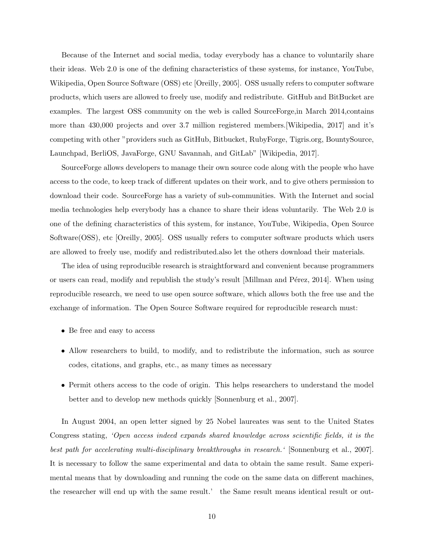Because of the Internet and social media, today everybody has a chance to voluntarily share their ideas. Web 2.0 is one of the defining characteristics of these systems, for instance, YouTube, Wikipedia, Open Source Software (OSS) etc [Oreilly, 2005]. OSS usually refers to computer software products, which users are allowed to freely use, modify and redistribute. GitHub and BitBucket are examples. The largest OSS community on the web is called SourceForge,in March 2014,contains more than 430,000 projects and over 3.7 million registered members.[Wikipedia, 2017] and it's competing with other "providers such as GitHub, Bitbucket, RubyForge, Tigris.org, BountySource, Launchpad, BerliOS, JavaForge, GNU Savannah, and GitLab" [Wikipedia, 2017].

SourceForge allows developers to manage their own source code along with the people who have access to the code, to keep track of different updates on their work, and to give others permission to download their code. SourceForge has a variety of sub-communities. With the Internet and social media technologies help everybody has a chance to share their ideas voluntarily. The Web 2.0 is one of the defining characteristics of this system, for instance, YouTube, Wikipedia, Open Source Software(OSS), etc [Oreilly, 2005]. OSS usually refers to computer software products which users are allowed to freely use, modify and redistributed.also let the others download their materials.

The idea of using reproducible research is straightforward and convenient because programmers or users can read, modify and republish the study's result [Millman and Pérez, 2014]. When using reproducible research, we need to use open source software, which allows both the free use and the exchange of information. The Open Source Software required for reproducible research must:

- Be free and easy to access
- Allow researchers to build, to modify, and to redistribute the information, such as source codes, citations, and graphs, etc., as many times as necessary
- Permit others access to the code of origin. This helps researchers to understand the model better and to develop new methods quickly [Sonnenburg et al., 2007].

In August 2004, an open letter signed by 25 Nobel laureates was sent to the United States Congress stating, 'Open access indeed expands shared knowledge across scientific fields, it is the best path for accelerating multi-disciplinary breakthroughs in research.' [Sonnenburg et al., 2007]. It is necessary to follow the same experimental and data to obtain the same result. Same experimental means that by downloading and running the code on the same data on different machines, the researcher will end up with the same result.' the Same result means identical result or out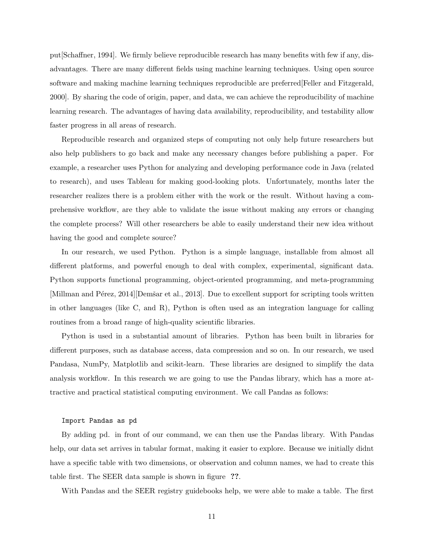put[Schaffner, 1994]. We firmly believe reproducible research has many benefits with few if any, disadvantages. There are many different fields using machine learning techniques. Using open source software and making machine learning techniques reproducible are preferred[Feller and Fitzgerald, 2000]. By sharing the code of origin, paper, and data, we can achieve the reproducibility of machine learning research. The advantages of having data availability, reproducibility, and testability allow faster progress in all areas of research.

Reproducible research and organized steps of computing not only help future researchers but also help publishers to go back and make any necessary changes before publishing a paper. For example, a researcher uses Python for analyzing and developing performance code in Java (related to research), and uses Tableau for making good-looking plots. Unfortunately, months later the researcher realizes there is a problem either with the work or the result. Without having a comprehensive workflow, are they able to validate the issue without making any errors or changing the complete process? Will other researchers be able to easily understand their new idea without having the good and complete source?

In our research, we used Python. Python is a simple language, installable from almost all different platforms, and powerful enough to deal with complex, experimental, significant data. Python supports functional programming, object-oriented programming, and meta-programming [Millman and Pérez, 2014][Demšar et al., 2013]. Due to excellent support for scripting tools written in other languages (like C, and R), Python is often used as an integration language for calling routines from a broad range of high-quality scientific libraries.

Python is used in a substantial amount of libraries. Python has been built in libraries for different purposes, such as database access, data compression and so on. In our research, we used Pandasa, NumPy, Matplotlib and scikit-learn. These libraries are designed to simplify the data analysis workflow. In this research we are going to use the Pandas library, which has a more attractive and practical statistical computing environment. We call Pandas as follows:

#### Import Pandas as pd

By adding pd. in front of our command, we can then use the Pandas library. With Pandas help, our data set arrives in tabular format, making it easier to explore. Because we initially didnt have a specific table with two dimensions, or observation and column names, we had to create this table first. The SEER data sample is shown in figure ??.

With Pandas and the SEER registry guidebooks help, we were able to make a table. The first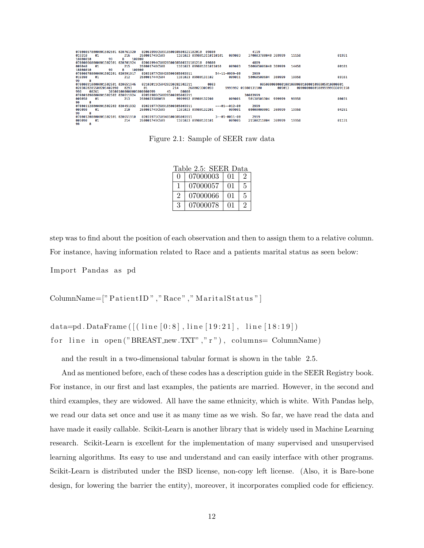| 070000570000001502501 020761920 |                          | 02061996C5091850038500321102010 |       | 09800                    |                       | 4119                |        |                                             |                             |
|---------------------------------|--------------------------|---------------------------------|-------|--------------------------|-----------------------|---------------------|--------|---------------------------------------------|-----------------------------|
| 019310<br>01                    | 216                      | 260001749C509                   |       | 1161023 0998013110110101 | 009003                | 370003700040 369999 |        | 11158                                       | 01951                       |
| 99<br>18000010                  | R                        | 100000                          |       |                          |                       |                     |        |                                             |                             |
| 070000660000001502501           | 020701924                | 02061994C5082850038500331101210 |       | 09800                    |                       | 4889                |        |                                             |                             |
| 009040<br>01                    | 215                      | 260001748C508                   |       | 1161023 099801311011010  | 009003                | 500605006040 369999 |        | 14458                                       | 00181                       |
| 99<br>18000010                  | R                        | 100000                          |       |                          |                       |                     |        |                                             |                             |
| 070000780000001502201 020591917 |                          | 02031977C50428500385003911      |       |                          | 54-11-0999-00         | 2999                |        |                                             |                             |
| 019390<br>01                    | 212                      | 260001744C504                   |       | 1161023 09980131102      | 009011                | 50060500604         | 369999 | 19958                                       | 03161                       |
| R<br>99                         |                          |                                 |       |                          |                       |                     |        |                                             |                             |
| 070000910000001502501 020651946 |                          | 02102011C50428230282302211      |       | 0003                     |                       |                     |        | 0050000000001001000000100001098805010000001 |                             |
| 0203020205500205402090          | 0293                     | 01                              | 214   | 2600023300059            |                       | 9999992 05980131100 | 009013 |                                             | 000000000010099999933091158 |
| 998<br>00261                    | 305001000000005000000999 | 45                              | 80000 |                          |                       |                     |        |                                             |                             |
| 070001090000001502502 020611924 |                          | 02051986C50828500285002211      |       |                          |                       | 30003999            |        |                                             |                             |
| 009050<br>01                    | 213                      | 2600023300059                   |       | 9999992 09980132200      | 009001                | 50130501304         | 999999 | 99958                                       | 00031                       |
| 99<br>8                         |                          |                                 |       |                          |                       |                     |        |                                             |                             |
| 070001120000001502202 020451932 |                          | 02021977C50918500385003911      |       |                          | $---01--012-00$       | 2999                |        |                                             |                             |
| 009090<br>01                    | 210                      | 2600017490509                   |       | 1161023 09980132201      | 009001                | 8888888881          | 369999 | 19958                                       | 04251                       |
| 8<br>99                         |                          |                                 |       |                          |                       |                     |        |                                             |                             |
| 070001200000001502101 020651910 |                          | 02031975C50948500385003911      |       |                          | $3 - -01 - 0011 - 00$ | 2999                |        |                                             |                             |
| 009090<br>01                    | 214                      | 260001749C509                   |       | 1161023 09980131101      | 009005                | 21100211004         | 369999 | 19958                                       | 01131                       |
| $\sim$ $\sim$                   |                          |                                 |       |                          |                       |                     |        |                                             |                             |

Figure 2.1: Sample of SEER raw data

|                             | Table 2.5: SEER Data |            |                |
|-----------------------------|----------------------|------------|----------------|
| $\Omega$                    | 07000003             | 01         | $\mathcal{D}$  |
| Т.                          | 07000057             | 01         | 5              |
| $\mathcal{D}_{\mathcal{L}}$ | 07000066             | $\Omega$ 1 | 5              |
| 3                           | 07000078             | $\Omega$ 1 | $\overline{2}$ |

step was to find about the position of each observation and then to assign them to a relative column. For instance, having information related to Race and a patients marital status as seen below:

Import Pandas as pd

ColumnName=[" PatientID", "Race", "MaritalStatus"]

data=pd. DataFrame  $( [($  line  $[0:8]$ , line  $[19:21]$ , line  $[18:19])$ for line in open ("BREAST\_new.TXT","r"), columns= ColumnName)

and the result in a two-dimensional tabular format is shown in the table 2.5.

And as mentioned before, each of these codes has a description guide in the SEER Registry book. For instance, in our first and last examples, the patients are married. However, in the second and third examples, they are widowed. All have the same ethnicity, which is white. With Pandas help, we read our data set once and use it as many time as we wish. So far, we have read the data and have made it easily callable. Scikit-Learn is another library that is widely used in Machine Learning research. Scikit-Learn is excellent for the implementation of many supervised and unsupervised learning algorithms. Its easy to use and understand and can easily interface with other programs. Scikit-Learn is distributed under the BSD license, non-copy left license. (Also, it is Bare-bone design, for lowering the barrier the entity), moreover, it incorporates complied code for efficiency.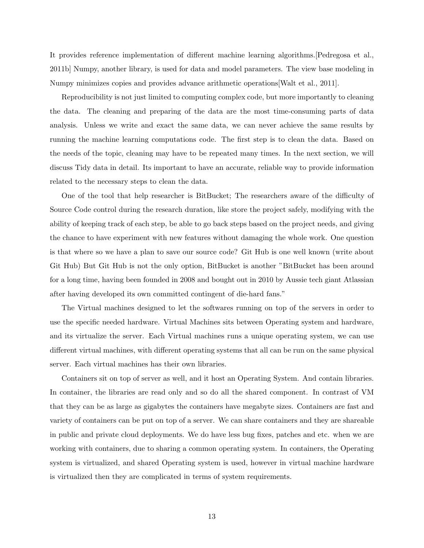It provides reference implementation of different machine learning algorithms.[Pedregosa et al., 2011b] Numpy, another library, is used for data and model parameters. The view base modeling in Numpy minimizes copies and provides advance arithmetic operations[Walt et al., 2011].

Reproducibility is not just limited to computing complex code, but more importantly to cleaning the data. The cleaning and preparing of the data are the most time-consuming parts of data analysis. Unless we write and exact the same data, we can never achieve the same results by running the machine learning computations code. The first step is to clean the data. Based on the needs of the topic, cleaning may have to be repeated many times. In the next section, we will discuss Tidy data in detail. Its important to have an accurate, reliable way to provide information related to the necessary steps to clean the data.

One of the tool that help researcher is BitBucket; The researchers aware of the difficulty of Source Code control during the research duration, like store the project safely, modifying with the ability of keeping track of each step, be able to go back steps based on the project needs, and giving the chance to have experiment with new features without damaging the whole work. One question is that where so we have a plan to save our source code? Git Hub is one well known (write about Git Hub) But Git Hub is not the only option, BitBucket is another "BitBucket has been around for a long time, having been founded in 2008 and bought out in 2010 by Aussie tech giant Atlassian after having developed its own committed contingent of die-hard fans."

The Virtual machines designed to let the softwares running on top of the servers in order to use the specific needed hardware. Virtual Machines sits between Operating system and hardware, and its virtualize the server. Each Virtual machines runs a unique operating system, we can use different virtual machines, with different operating systems that all can be run on the same physical server. Each virtual machines has their own libraries.

Containers sit on top of server as well, and it host an Operating System. And contain libraries. In container, the libraries are read only and so do all the shared component. In contrast of VM that they can be as large as gigabytes the containers have megabyte sizes. Containers are fast and variety of containers can be put on top of a server. We can share containers and they are shareable in public and private cloud deployments. We do have less bug fixes, patches and etc. when we are working with containers, due to sharing a common operating system. In containers, the Operating system is virtualized, and shared Operating system is used, however in virtual machine hardware is virtualized then they are complicated in terms of system requirements.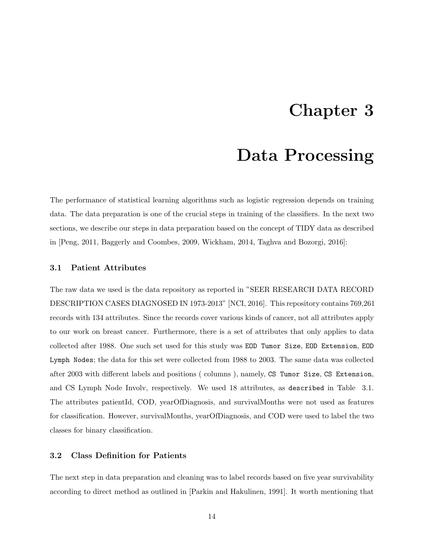### Chapter 3

### Data Processing

The performance of statistical learning algorithms such as logistic regression depends on training data. The data preparation is one of the crucial steps in training of the classifiers. In the next two sections, we describe our steps in data preparation based on the concept of TIDY data as described in [Peng, 2011, Baggerly and Coombes, 2009, Wickham, 2014, Taghva and Bozorgi, 2016]:

#### 3.1 Patient Attributes

The raw data we used is the data repository as reported in "SEER RESEARCH DATA RECORD DESCRIPTION CASES DIAGNOSED IN 1973-2013" [NCI, 2016]. This repository contains 769,261 records with 134 attributes. Since the records cover various kinds of cancer, not all attributes apply to our work on breast cancer. Furthermore, there is a set of attributes that only applies to data collected after 1988. One such set used for this study was EOD Tumor Size, EOD Extension, EOD Lymph Nodes; the data for this set were collected from 1988 to 2003. The same data was collected after 2003 with different labels and positions ( columns ), namely, CS Tumor Size, CS Extension, and CS Lymph Node Involv, respectively. We used 18 attributes, as described in Table 3.1. The attributes patientId, COD, yearOfDiagnosis, and survivalMonths were not used as features for classification. However, survivalMonths, yearOfDiagnosis, and COD were used to label the two classes for binary classification.

#### 3.2 Class Definition for Patients

The next step in data preparation and cleaning was to label records based on five year survivability according to direct method as outlined in [Parkin and Hakulinen, 1991]. It worth mentioning that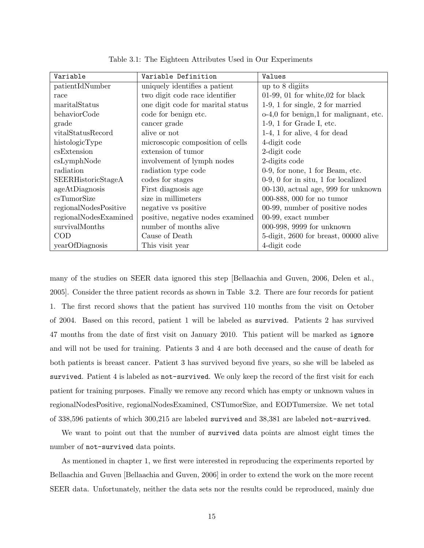| Variable              | Variable Definition               | Values                                 |
|-----------------------|-----------------------------------|----------------------------------------|
| patientIdNumber       | uniquely identifies a patient     | up to 8 digits                         |
| race                  | two digit code race identifier    | $01-99$ , 01 for white, 02 for black   |
| maritalStatus         | one digit code for marital status | $1-9$ , 1 for single, 2 for married    |
| behaviorCode          | code for benign etc.              | o-4,0 for benign,1 for malignant, etc. |
| grade                 | cancer grade                      | $1-9$ , 1 for Grade I, etc.            |
| vitalStatusRecord     | alive or not                      | $1-4$ , 1 for alive, 4 for dead        |
| histologicType        | microscopic composition of cells  | 4-digit code                           |
| csExtension           | extension of tumor                | 2-digit code                           |
| csLymphNode           | involvement of lymph nodes        | 2-digits code                          |
| radiation             | radiation type code               | $0-9$ , for none, 1 for Beam, etc.     |
| SEERHistoricStageA    | codes for stages                  | $0-9$ , 0 for in situ, 1 for localized |
| ageAtDiagnosis        | First diagnosis age               | 00-130, actual age, 999 for unknown    |
| csTumorSize           | size in millimeters               | 000-888, 000 for no tumor              |
| regionalNodesPositive | negative vs positive              | 00-99, number of positive nodes        |
| regionalNodesExamined | positive, negative nodes examined | 00-99, exact number                    |
| survivalMonths        | number of months alive            | 000-998, 9999 for unknown              |
| COD                   | Cause of Death                    | 5-digit, 2600 for breast, 00000 alive  |
| yearOfDiagnosis       | This visit year                   | 4-digit code                           |

Table 3.1: The Eighteen Attributes Used in Our Experiments

many of the studies on SEER data ignored this step [Bellaachia and Guven, 2006, Delen et al., 2005]. Consider the three patient records as shown in Table 3.2. There are four records for patient 1. The first record shows that the patient has survived 110 months from the visit on October of 2004. Based on this record, patient 1 will be labeled as survived. Patients 2 has survived 47 months from the date of first visit on January 2010. This patient will be marked as ignore and will not be used for training. Patients 3 and 4 are both deceased and the cause of death for both patients is breast cancer. Patient 3 has survived beyond five years, so she will be labeled as survived. Patient 4 is labeled as not-survived. We only keep the record of the first visit for each patient for training purposes. Finally we remove any record which has empty or unknown values in regionalNodesPositive, regionalNodesExamined, CSTumorSize, and EODTumersize. We net total of 338,596 patients of which 300,215 are labeled survived and 38,381 are labeled not-survived.

We want to point out that the number of survived data points are almost eight times the number of not-survived data points.

As mentioned in chapter 1, we first were interested in reproducing the experiments reported by Bellaachia and Guven [Bellaachia and Guven, 2006] in order to extend the work on the more recent SEER data. Unfortunately, neither the data sets nor the results could be reproduced, mainly due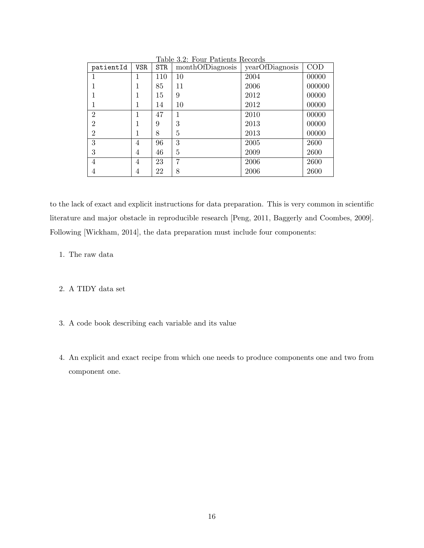| patientId      | <b>VSR</b> | <b>STR</b> | monthOfDiagnosis | yearOfDiagnosis | COD    |
|----------------|------------|------------|------------------|-----------------|--------|
|                |            | 110        | 10               | 2004            | 00000  |
| 1              |            | 85         | 11               | 2006            | 000000 |
|                |            | 15         | 9                | 2012            | 00000  |
| 1              |            | 14         | 10               | 2012            | 00000  |
| $\overline{2}$ |            | 47         | 1                | 2010            | 00000  |
| $\overline{2}$ |            | 9          | 3                | 2013            | 00000  |
| $\overline{2}$ |            | 8          | 5                | 2013            | 00000  |
| 3              | 4          | 96         | 3                | 2005            | 2600   |
| 3              | 4          | 46         | 5                | 2009            | 2600   |
| 4              | 4          | 23         | 7                | 2006            | 2600   |
| 4              | 4          | 22         | 8                | 2006            | 2600   |

Table 3.2: Four Patients Records

to the lack of exact and explicit instructions for data preparation. This is very common in scientific literature and major obstacle in reproducible research [Peng, 2011, Baggerly and Coombes, 2009]. Following [Wickham, 2014], the data preparation must include four components:

- 1. The raw data
- 2. A TIDY data set
- 3. A code book describing each variable and its value
- 4. An explicit and exact recipe from which one needs to produce components one and two from component one.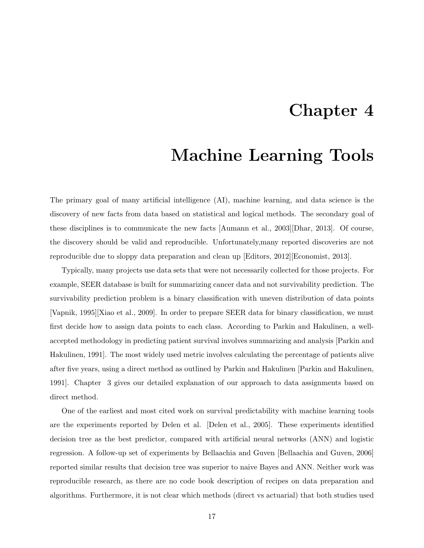### Chapter 4

### Machine Learning Tools

The primary goal of many artificial intelligence (AI), machine learning, and data science is the discovery of new facts from data based on statistical and logical methods. The secondary goal of these disciplines is to communicate the new facts [Aumann et al., 2003][Dhar, 2013]. Of course, the discovery should be valid and reproducible. Unfortunately,many reported discoveries are not reproducible due to sloppy data preparation and clean up [Editors, 2012][Economist, 2013].

Typically, many projects use data sets that were not necessarily collected for those projects. For example, SEER database is built for summarizing cancer data and not survivability prediction. The survivability prediction problem is a binary classification with uneven distribution of data points [Vapnik, 1995][Xiao et al., 2009]. In order to prepare SEER data for binary classification, we must first decide how to assign data points to each class. According to Parkin and Hakulinen, a wellaccepted methodology in predicting patient survival involves summarizing and analysis [Parkin and Hakulinen, 1991]. The most widely used metric involves calculating the percentage of patients alive after five years, using a direct method as outlined by Parkin and Hakulinen [Parkin and Hakulinen, 1991]. Chapter 3 gives our detailed explanation of our approach to data assignments based on direct method.

One of the earliest and most cited work on survival predictability with machine learning tools are the experiments reported by Delen et al. [Delen et al., 2005]. These experiments identified decision tree as the best predictor, compared with artificial neural networks (ANN) and logistic regression. A follow-up set of experiments by Bellaachia and Guven [Bellaachia and Guven, 2006] reported similar results that decision tree was superior to naive Bayes and ANN. Neither work was reproducible research, as there are no code book description of recipes on data preparation and algorithms. Furthermore, it is not clear which methods (direct vs actuarial) that both studies used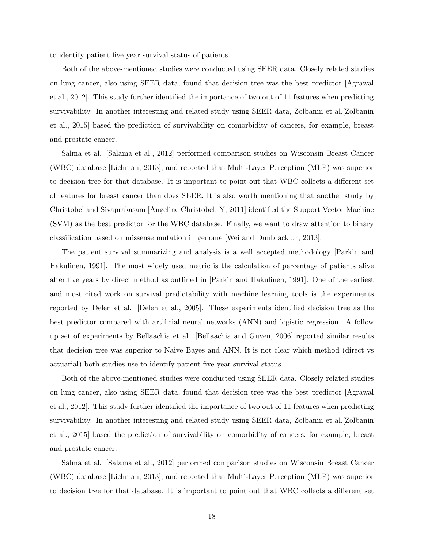to identify patient five year survival status of patients.

Both of the above-mentioned studies were conducted using SEER data. Closely related studies on lung cancer, also using SEER data, found that decision tree was the best predictor [Agrawal et al., 2012]. This study further identified the importance of two out of 11 features when predicting survivability. In another interesting and related study using SEER data, Zolbanin et al.[Zolbanin et al., 2015] based the prediction of survivability on comorbidity of cancers, for example, breast and prostate cancer.

Salma et al. [Salama et al., 2012] performed comparison studies on Wisconsin Breast Cancer (WBC) database [Lichman, 2013], and reported that Multi-Layer Perception (MLP) was superior to decision tree for that database. It is important to point out that WBC collects a different set of features for breast cancer than does SEER. It is also worth mentioning that another study by Christobel and Sivaprakasam [Angeline Christobel. Y, 2011] identified the Support Vector Machine (SVM) as the best predictor for the WBC database. Finally, we want to draw attention to binary classification based on missense mutation in genome [Wei and Dunbrack Jr, 2013].

The patient survival summarizing and analysis is a well accepted methodology [Parkin and Hakulinen, 1991]. The most widely used metric is the calculation of percentage of patients alive after five years by direct method as outlined in [Parkin and Hakulinen, 1991]. One of the earliest and most cited work on survival predictability with machine learning tools is the experiments reported by Delen et al. [Delen et al., 2005]. These experiments identified decision tree as the best predictor compared with artificial neural networks (ANN) and logistic regression. A follow up set of experiments by Bellaachia et al. [Bellaachia and Guven, 2006] reported similar results that decision tree was superior to Naive Bayes and ANN. It is not clear which method (direct vs actuarial) both studies use to identify patient five year survival status.

Both of the above-mentioned studies were conducted using SEER data. Closely related studies on lung cancer, also using SEER data, found that decision tree was the best predictor [Agrawal et al., 2012]. This study further identified the importance of two out of 11 features when predicting survivability. In another interesting and related study using SEER data, Zolbanin et al.[Zolbanin et al., 2015] based the prediction of survivability on comorbidity of cancers, for example, breast and prostate cancer.

Salma et al. [Salama et al., 2012] performed comparison studies on Wisconsin Breast Cancer (WBC) database [Lichman, 2013], and reported that Multi-Layer Perception (MLP) was superior to decision tree for that database. It is important to point out that WBC collects a different set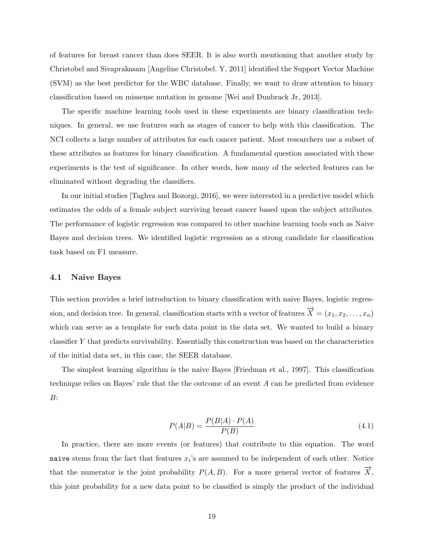of features for breast cancer than does SEER. It is also worth mentioning that another study by Christobel and Sivaprakasam [Angeline Christobel. Y, 2011] identified the Support Vector Machine (SVM) as the best predictor for the WBC database. Finally, we want to draw attention to binary classification based on missense mutation in genome [Wei and Dunbrack Jr, 2013].

The specific machine learning tools used in these experiments are binary classification techniques. In general, we use features such as stages of cancer to help with this classification. The NCI collects a large number of attributes for each cancer patient. Most researchers use a subset of these attributes as features for binary classification. A fundamental question associated with these experiments is the test of significance. In other words, how many of the selected features can be eliminated without degrading the classifiers.

In our initial studies [Taghva and Bozorgi, 2016], we were interested in a predictive model which estimates the odds of a female subject surviving breast cancer based upon the subject attributes. The performance of logistic regression was compared to other machine learning tools such as Naive Bayes and decision trees. We identified logistic regression as a strong candidate for classification task based on F1 measure.

#### 4.1 Naive Bayes

This section provides a brief introduction to binary classification with naive Bayes, logistic regression, and decision tree. In general, classification starts with a vector of features  $\overrightarrow{X} = (x_1, x_2, \ldots, x_n)$ which can serve as a template for each data point in the data set. We wanted to build a binary classifier Y that predicts survivability. Essentially this construction was based on the characteristics of the initial data set, in this case, the SEER database.

The simplest learning algorithm is the naive Bayes [Friedman et al., 1997]. This classification technique relies on Bayes' rule that the the outcome of an event A can be predicted from evidence B:

$$
P(A|B) = \frac{P(B|A) \cdot P(A)}{P(B)}\tag{4.1}
$$

In practice, there are more events (or features) that contribute to this equation. The word naive stems from the fact that features  $x_i$ 's are assumed to be independent of each other. Notice that the numerator is the joint probability  $P(A, B)$ . For a more general vector of features  $\overrightarrow{X}$ , this joint probability for a new data point to be classified is simply the product of the individual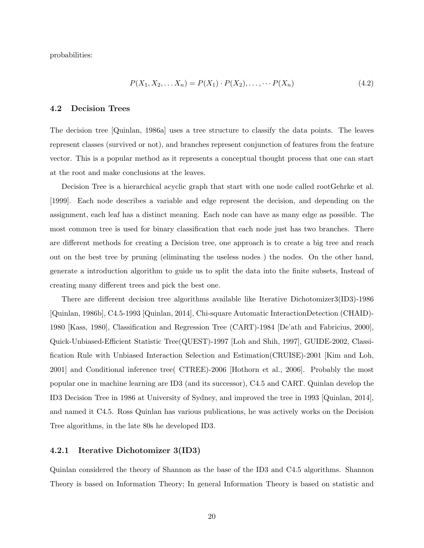probabilities:

$$
P(X_1, X_2, \dots X_n) = P(X_1) \cdot P(X_2), \dots, \dots P(X_n)
$$
\n(4.2)

#### 4.2 Decision Trees

The decision tree [Quinlan, 1986a] uses a tree structure to classify the data points. The leaves represent classes (survived or not), and branches represent conjunction of features from the feature vector. This is a popular method as it represents a conceptual thought process that one can start at the root and make conclusions at the leaves.

Decision Tree is a hierarchical acyclic graph that start with one node called rootGehrke et al. [1999]. Each node describes a variable and edge represent the decision, and depending on the assignment, each leaf has a distinct meaning. Each node can have as many edge as possible. The most common tree is used for binary classification that each node just has two branches. There are different methods for creating a Decision tree, one approach is to create a big tree and reach out on the best tree by pruning (eliminating the useless nodes ) the nodes. On the other hand, generate a introduction algorithm to guide us to split the data into the finite subsets, Instead of creating many different trees and pick the best one.

There are different decision tree algorithms available like Iterative Dichotomizer3(ID3)-1986 [Quinlan, 1986b], C4.5-1993 [Quinlan, 2014], Chi-square Automatic InteractionDetection (CHAID)- 1980 [Kass, 1980], Classification and Regression Tree (CART)-1984 [De'ath and Fabricius, 2000], Quick-Unbiased-Efficient Statistic Tree(QUEST)-1997 [Loh and Shih, 1997], GUIDE-2002, Classification Rule with Unbiased Interaction Selection and Estimation(CRUISE)-2001 [Kim and Loh, 2001] and Conditional inference tree( CTREE)-2006 [Hothorn et al., 2006]. Probably the most popular one in machine learning are ID3 (and its successor), C4.5 and CART. Quinlan develop the ID3 Decision Tree in 1986 at University of Sydney, and improved the tree in 1993 [Quinlan, 2014], and named it C4.5. Ross Quinlan has various publications, he was actively works on the Decision Tree algorithms, in the late 80s he developed ID3.

#### 4.2.1 Iterative Dichotomizer 3(ID3)

Quinlan considered the theory of Shannon as the base of the ID3 and C4.5 algorithms. Shannon Theory is based on Information Theory; In general Information Theory is based on statistic and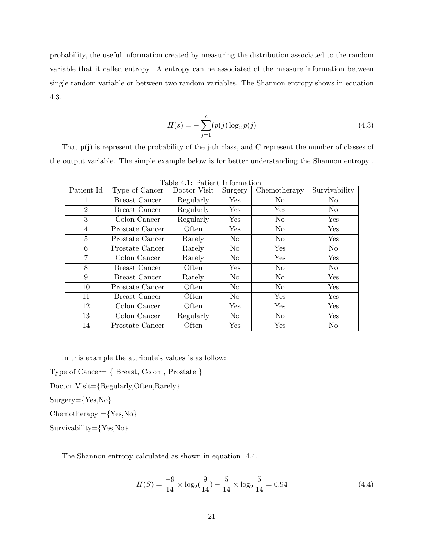probability, the useful information created by measuring the distribution associated to the random variable that it called entropy. A entropy can be associated of the measure information between single random variable or between two random variables. The Shannon entropy shows in equation 4.3.

$$
H(s) = -\sum_{j=1}^{c} (p(j) \log_2 p(j)
$$
\n(4.3)

That p(j) is represent the probability of the j-th class, and C represent the number of classes of the output variable. The simple example below is for better understanding the Shannon entropy .

| Patient Id     | Type of Cancer  | Doctor Visit | Surgery              | Chemotherapy   | Survivability  |
|----------------|-----------------|--------------|----------------------|----------------|----------------|
|                | Breast Cancer   | Regularly    | $\operatorname{Yes}$ | N <sub>o</sub> | N <sub>o</sub> |
| $\overline{2}$ | Breast Cancer   | Regularly    | Yes                  | Yes            | N <sub>o</sub> |
| 3              | Colon Cancer    | Regularly    | Yes                  | No             | Yes            |
| 4              | Prostate Cancer | Often        | Yes                  | No             | Yes            |
| 5              | Prostate Cancer | Rarely       | N <sub>o</sub>       | No             | Yes            |
| 6              | Prostate Cancer | Rarely       | N <sub>o</sub>       | Yes            | N <sub>o</sub> |
| 7              | Colon Cancer    | Rarely       | N <sub>o</sub>       | Yes            | ${\rm Yes}$    |
| 8              | Breast Cancer   | Often        | Yes                  | No             | N <sub>o</sub> |
| 9              | Breast Cancer   | Rarely       | N <sub>o</sub>       | No             | ${\rm Yes}$    |
| 10             | Prostate Cancer | Often        | N <sub>o</sub>       | No             | ${\rm Yes}$    |
| 11             | Breast Cancer   | Often        | $\rm No$             | Yes            | Yes            |
| 12             | Colon Cancer    | Often        | Yes                  | Yes            | Yes            |
| 13             | Colon Cancer    | Regularly    | $\rm No$             | No             | Yes            |
| 14             | Prostate Cancer | Often        | Yes                  | Yes            | No             |

Table 4.1: Patient Information

In this example the attribute's values is as follow:

Type of Cancer= { Breast, Colon , Prostate }

Doctor Visit={Regularly,Often,Rarely}

Surgery={Yes,No}

 $Chemotherapy = {Yes, No}$ 

Survivability={Yes,No}

The Shannon entropy calculated as shown in equation 4.4.

$$
H(S) = \frac{-9}{14} \times \log_2(\frac{9}{14}) - \frac{5}{14} \times \log_2 \frac{5}{14} = 0.94
$$
 (4.4)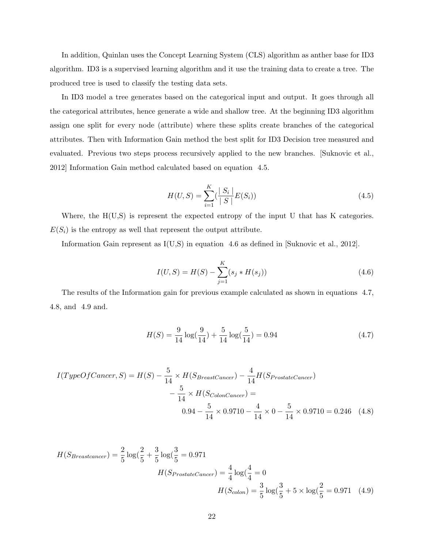In addition, Quinlan uses the Concept Learning System (CLS) algorithm as anther base for ID3 algorithm. ID3 is a supervised learning algorithm and it use the training data to create a tree. The produced tree is used to classify the testing data sets.

In ID3 model a tree generates based on the categorical input and output. It goes through all the categorical attributes, hence generate a wide and shallow tree. At the beginning ID3 algorithm assign one split for every node (attribute) where these splits create branches of the categorical attributes. Then with Information Gain method the best split for ID3 Decision tree measured and evaluated. Previous two steps process recursively applied to the new branches. [Suknovic et al., 2012] Information Gain method calculated based on equation 4.5.

$$
H(U, S) = \sum_{i=1}^{K} \left(\frac{|S_i|}{|S|} E(S_i)\right)
$$
\n(4.5)

Where, the  $H(U,S)$  is represent the expected entropy of the input U that has K categories.  $E(S_i)$  is the entropy as well that represent the output attribute.

Information Gain represent as I(U,S) in equation 4.6 as defined in [Suknovic et al., 2012].

$$
I(U, S) = H(S) - \sum_{j=1}^{K} (s_j * H(s_j))
$$
\n(4.6)

The results of the Information gain for previous example calculated as shown in equations 4.7, 4.8, and 4.9 and.

$$
H(S) = \frac{9}{14}\log(\frac{9}{14}) + \frac{5}{14}\log(\frac{5}{14}) = 0.94\tag{4.7}
$$

$$
I(TypeOf Cancer, S) = H(S) - \frac{5}{14} \times H(S_{Breast Cancer}) - \frac{4}{14} H(S_{Prostate Cancer}) - \frac{5}{14} \times H(S_{Color Cancer}) =
$$
  

$$
0.94 - \frac{5}{14} \times 0.9710 - \frac{4}{14} \times 0 - \frac{5}{14} \times 0.9710 = 0.246 \quad (4.8)
$$

$$
H(S_{Breast cancer}) = \frac{2}{5} \log(\frac{2}{5} + \frac{3}{5} \log(\frac{3}{5} = 0.971
$$

$$
H(S_{Prostate Cancer}) = \frac{4}{4} \log(\frac{4}{4} = 0
$$

$$
H(S_{colon}) = \frac{3}{5} \log(\frac{3}{5} + 5 \times \log(\frac{2}{5} = 0.971 \quad (4.9)
$$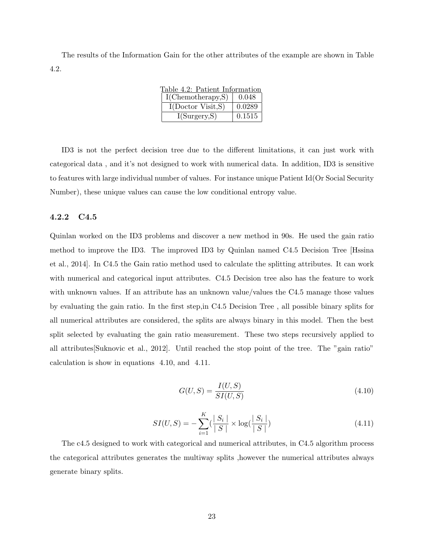The results of the Information Gain for the other attributes of the example are shown in Table 4.2.

| Table 4.2: Patient Information |        |  |  |  |  |  |
|--------------------------------|--------|--|--|--|--|--|
| I(Chemotherapy,S)              | 0.048  |  |  |  |  |  |
| I(Doctor Visit, S)             | 0.0289 |  |  |  |  |  |
| I(Surgery, S)                  | 0.1515 |  |  |  |  |  |

ID3 is not the perfect decision tree due to the different limitations, it can just work with categorical data , and it's not designed to work with numerical data. In addition, ID3 is sensitive to features with large individual number of values. For instance unique Patient Id(Or Social Security Number), these unique values can cause the low conditional entropy value.

#### 4.2.2 C4.5

Quinlan worked on the ID3 problems and discover a new method in 90s. He used the gain ratio method to improve the ID3. The improved ID3 by Quinlan named C4.5 Decision Tree [Hssina et al., 2014]. In C4.5 the Gain ratio method used to calculate the splitting attributes. It can work with numerical and categorical input attributes. C4.5 Decision tree also has the feature to work with unknown values. If an attribute has an unknown value/values the C4.5 manage those values by evaluating the gain ratio. In the first step,in C4.5 Decision Tree , all possible binary splits for all numerical attributes are considered, the splits are always binary in this model. Then the best split selected by evaluating the gain ratio measurement. These two steps recursively applied to all attributes[Suknovic et al., 2012]. Until reached the stop point of the tree. The "gain ratio" calculation is show in equations 4.10, and 4.11.

$$
G(U, S) = \frac{I(U, S)}{SI(U, S)}
$$
\n(4.10)

$$
SI(U, S) = -\sum_{i=1}^{K} \left(\frac{|S_i|}{|S|} \times \log\left(\frac{|S_i|}{|S|}\right)\right) \tag{4.11}
$$

The c4.5 designed to work with categorical and numerical attributes, in C4.5 algorithm process the categorical attributes generates the multiway splits ,however the numerical attributes always generate binary splits.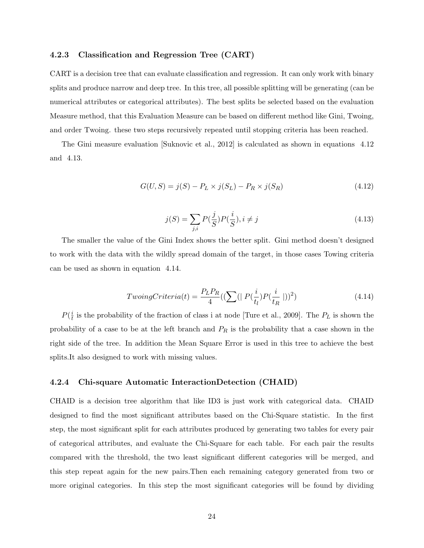#### 4.2.3 Classification and Regression Tree (CART)

CART is a decision tree that can evaluate classification and regression. It can only work with binary splits and produce narrow and deep tree. In this tree, all possible splitting will be generating (can be numerical attributes or categorical attributes). The best splits be selected based on the evaluation Measure method, that this Evaluation Measure can be based on different method like Gini, Twoing, and order Twoing. these two steps recursively repeated until stopping criteria has been reached.

The Gini measure evaluation [Suknovic et al., 2012] is calculated as shown in equations 4.12 and 4.13.

$$
G(U, S) = j(S) - P_L \times j(S_L) - P_R \times j(S_R)
$$
\n(4.12)

$$
j(S) = \sum_{j,i} P(\frac{j}{S}) P(\frac{i}{S}), i \neq j
$$
\n(4.13)

The smaller the value of the Gini Index shows the better split. Gini method doesn't designed to work with the data with the wildly spread domain of the target, in those cases Towing criteria can be used as shown in equation 4.14.

$$
TwoingCriteria(t) = \frac{P_L P_R}{4} \left( \left( \sum \left( | P(\frac{i}{t_l}) P(\frac{i}{t_R} | ) \right)^2 \right) \right)
$$
(4.14)

 $P(\frac{i}{t}$  $\frac{i}{t}$  is the probability of the fraction of class i at node [Ture et al., 2009]. The  $P_L$  is shown the probability of a case to be at the left branch and  $P_R$  is the probability that a case shown in the right side of the tree. In addition the Mean Square Error is used in this tree to achieve the best splits.It also designed to work with missing values.

#### 4.2.4 Chi-square Automatic InteractionDetection (CHAID)

CHAID is a decision tree algorithm that like ID3 is just work with categorical data. CHAID designed to find the most significant attributes based on the Chi-Square statistic. In the first step, the most significant split for each attributes produced by generating two tables for every pair of categorical attributes, and evaluate the Chi-Square for each table. For each pair the results compared with the threshold, the two least significant different categories will be merged, and this step repeat again for the new pairs.Then each remaining category generated from two or more original categories. In this step the most significant categories will be found by dividing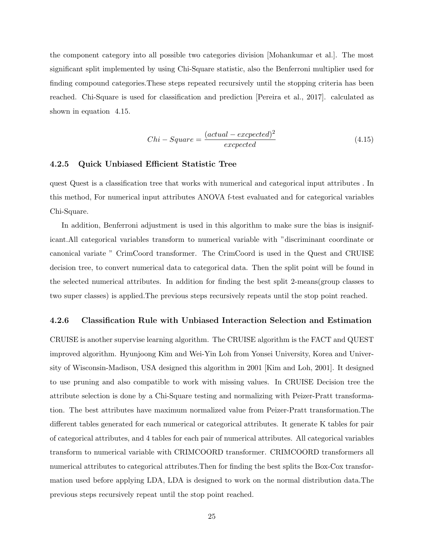the component category into all possible two categories division [Mohankumar et al.]. The most significant split implemented by using Chi-Square statistic, also the Benferroni multiplier used for finding compound categories.These steps repeated recursively until the stopping criteria has been reached. Chi-Square is used for classification and prediction [Pereira et al., 2017]. calculated as shown in equation 4.15.

$$
Chi-Square = \frac{(actual-expected)^2}{expected}
$$
\n(4.15)

#### 4.2.5 Quick Unbiased Efficient Statistic Tree

quest Quest is a classification tree that works with numerical and categorical input attributes . In this method, For numerical input attributes ANOVA f-test evaluated and for categorical variables Chi-Square.

In addition, Benferroni adjustment is used in this algorithm to make sure the bias is insignificant.All categorical variables transform to numerical variable with "discriminant coordinate or canonical variate " CrimCoord transformer. The CrimCoord is used in the Quest and CRUISE decision tree, to convert numerical data to categorical data. Then the split point will be found in the selected numerical attributes. In addition for finding the best split 2-means(group classes to two super classes) is applied.The previous steps recursively repeats until the stop point reached.

#### 4.2.6 Classification Rule with Unbiased Interaction Selection and Estimation

CRUISE is another supervise learning algorithm. The CRUISE algorithm is the FACT and QUEST improved algorithm. Hyunjoong Kim and Wei-Yin Loh from Yonsei University, Korea and University of Wisconsin-Madison, USA designed this algorithm in 2001 [Kim and Loh, 2001]. It designed to use pruning and also compatible to work with missing values. In CRUISE Decision tree the attribute selection is done by a Chi-Square testing and normalizing with Peizer-Pratt transformation. The best attributes have maximum normalized value from Peizer-Pratt transformation.The different tables generated for each numerical or categorical attributes. It generate K tables for pair of categorical attributes, and 4 tables for each pair of numerical attributes. All categorical variables transform to numerical variable with CRIMCOORD transformer. CRIMCOORD transformers all numerical attributes to categorical attributes.Then for finding the best splits the Box-Cox transformation used before applying LDA, LDA is designed to work on the normal distribution data.The previous steps recursively repeat until the stop point reached.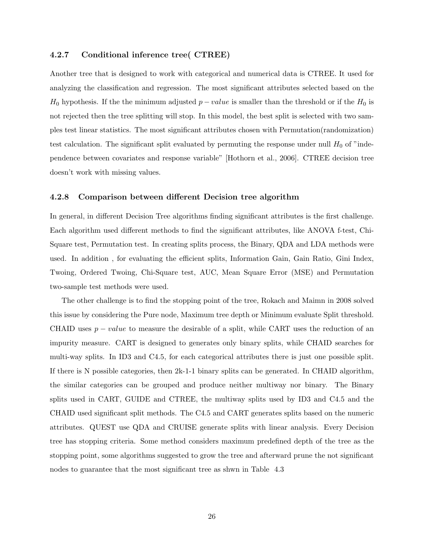#### 4.2.7 Conditional inference tree( CTREE)

Another tree that is designed to work with categorical and numerical data is CTREE. It used for analyzing the classification and regression. The most significant attributes selected based on the  $H_0$  hypothesis. If the the minimum adjusted  $p-value$  is smaller than the threshold or if the  $H_0$  is not rejected then the tree splitting will stop. In this model, the best split is selected with two samples test linear statistics. The most significant attributes chosen with Permutation(randomization) test calculation. The significant split evaluated by permuting the response under null  $H_0$  of "independence between covariates and response variable" [Hothorn et al., 2006]. CTREE decision tree doesn't work with missing values.

#### 4.2.8 Comparison between different Decision tree algorithm

In general, in different Decision Tree algorithms finding significant attributes is the first challenge. Each algorithm used different methods to find the significant attributes, like ANOVA f-test, Chi-Square test, Permutation test. In creating splits process, the Binary, QDA and LDA methods were used. In addition , for evaluating the efficient splits, Information Gain, Gain Ratio, Gini Index, Twoing, Ordered Twoing, Chi-Square test, AUC, Mean Square Error (MSE) and Permutation two-sample test methods were used.

The other challenge is to find the stopping point of the tree, Rokach and Maimn in 2008 solved this issue by considering the Pure node, Maximum tree depth or Minimum evaluate Split threshold. CHAID uses  $p-value$  to measure the desirable of a split, while CART uses the reduction of an impurity measure. CART is designed to generates only binary splits, while CHAID searches for multi-way splits. In ID3 and C4.5, for each categorical attributes there is just one possible split. If there is N possible categories, then 2k-1-1 binary splits can be generated. In CHAID algorithm, the similar categories can be grouped and produce neither multiway nor binary. The Binary splits used in CART, GUIDE and CTREE, the multiway splits used by ID3 and C4.5 and the CHAID used significant split methods. The C4.5 and CART generates splits based on the numeric attributes. QUEST use QDA and CRUISE generate splits with linear analysis. Every Decision tree has stopping criteria. Some method considers maximum predefined depth of the tree as the stopping point, some algorithms suggested to grow the tree and afterward prune the not significant nodes to guarantee that the most significant tree as shwn in Table 4.3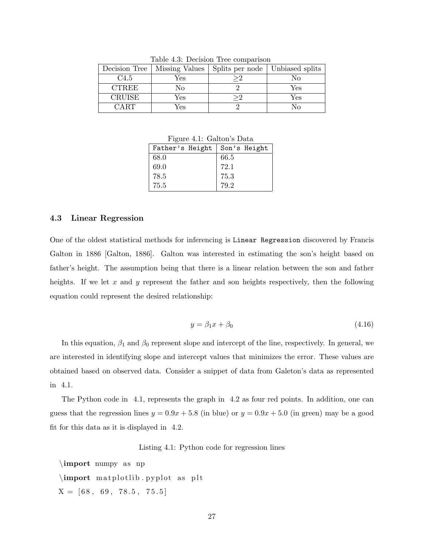| Decision Tree    | Missing Values | Splits per node   Unbiased splits |     |
|------------------|----------------|-----------------------------------|-----|
| C <sub>4.5</sub> | Yes            | >2                                | No  |
| <b>CTREE</b>     | Nο             |                                   | Yes |
| <b>CRUISE</b>    | Yes            |                                   | Yes |
| CART.            | Yes            |                                   | N٥  |

Table 4.3: Decision Tree comparison

Figure 4.1: Galton's Data

| Father's Height |      | Son's Height |
|-----------------|------|--------------|
| 68.0            | 66.5 |              |
| 69.0            | 72.1 |              |
| 78.5            | 75.3 |              |
| 75.5            | 79.2 |              |

#### 4.3 Linear Regression

One of the oldest statistical methods for inferencing is Linear Regression discovered by Francis Galton in 1886 [Galton, 1886]. Galton was interested in estimating the son's height based on father's height. The assumption being that there is a linear relation between the son and father heights. If we let x and y represent the father and son heights respectively, then the following equation could represent the desired relationship:

$$
y = \beta_1 x + \beta_0 \tag{4.16}
$$

In this equation,  $\beta_1$  and  $\beta_0$  represent slope and intercept of the line, respectively. In general, we are interested in identifying slope and intercept values that minimizes the error. These values are obtained based on observed data. Consider a snippet of data from Galeton's data as represented in 4.1.

The Python code in 4.1, represents the graph in 4.2 as four red points. In addition, one can guess that the regression lines  $y = 0.9x + 5.8$  (in blue) or  $y = 0.9x + 5.0$  (in green) may be a good fit for this data as it is displayed in 4.2.

Listing 4.1: Python code for regression lines

```
\imath import numpy as np
\emptyset m at plotlib . pyplot as plt
X = [68, 69, 78.5, 75.5]
```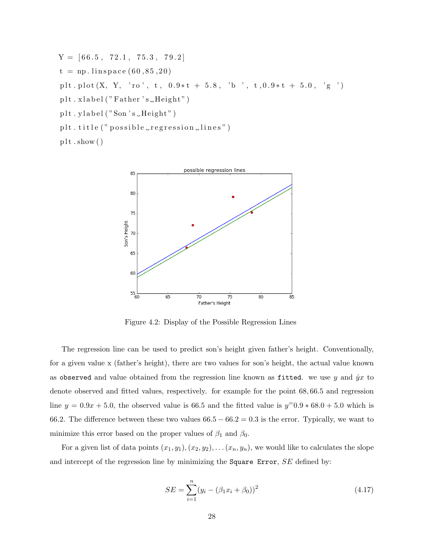$Y = [66.5, 72.1, 75.3, 79.2]$  $t = np$ . linspace  $(60, 85, 20)$ plt.plot  $(X, Y, 'ro', t, 0.9*t + 5.8, 'b', t, 0.9*t + 5.0, 'g')$ plt.xlabel ("Father's\_Height") plt.ylabel("Son's\_Height") plt. title (" possible  $\text{ergression}$   $\text{lines}$ ")  $plt.show()$ 



Figure 4.2: Display of the Possible Regression Lines

The regression line can be used to predict son's height given father's height. Conventionally, for a given value x (father's height), there are two values for son's height, the actual value known as observed and value obtained from the regression line known as fitted. we use y and  $\hat{y}x$  to denote observed and fitted values, respectively. for example for the point 68, 66.5 and regression line  $y = 0.9x + 5.0$ , the observed value is 66.5 and the fitted value is  $y=0.9*68.0+5.0$  which is 66.2. The difference between these two values  $66.5 - 66.2 = 0.3$  is the error. Typically, we want to minimize this error based on the proper values of  $\beta_1$  and  $\beta_0$ .

For a given list of data points  $(x_1, y_1), (x_2, y_2), \ldots (x_n, y_n)$ , we would like to calculates the slope and intercept of the regression line by minimizing the Square Error, SE defined by:

$$
SE = \sum_{i=1}^{n} (y_i - (\beta_1 x_i + \beta_0))^2
$$
\n(4.17)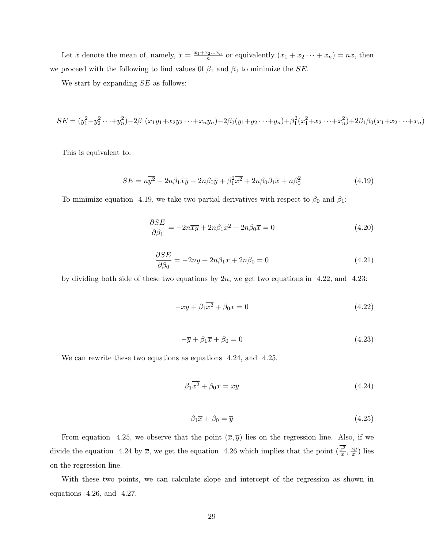Let  $\bar{x}$  denote the mean of, namely,  $\bar{x} = \frac{x_1 + x_2...x_n}{n}$  or equivalently  $(x_1 + x_2 \cdots + x_n) = n\bar{x}$ , then we proceed with the following to find values 0f  $\beta_1$  and  $\beta_0$  to minimize the *SE*.

We start by expanding  $SE$  as follows:

$$
SE = (y_1^2 + y_2^2 \cdots + y_n^2) - 2\beta_1(x_1y_1 + x_2y_2 \cdots + x_ny_n) - 2\beta_0(y_1 + y_2 \cdots + y_n) + \beta_1^2(x_1^2 + x_2 \cdots + x_n^2) + 2\beta_1\beta_0(x_1 + x_2 \cdots + x_n)
$$

This is equivalent to:

$$
SE = n\overline{y^2} - 2n\beta_1\overline{xy} - 2n\beta_0\overline{y} + \beta_1^2\overline{x^2} + 2n\beta_0\beta_1\overline{x} + n\beta_0^2
$$
\n(4.19)

To minimize equation 4.19, we take two partial derivatives with respect to  $\beta_0$  and  $\beta_1$ :

$$
\frac{\partial SE}{\partial \beta_1} = -2n\overline{xy} + 2n\beta_1 \overline{x^2} + 2n\beta_0 \overline{x} = 0 \tag{4.20}
$$

$$
\frac{\partial SE}{\partial \beta_0} = -2n\overline{y} + 2n\beta_1\overline{x} + 2n\beta_0 = 0
$$
\n(4.21)

by dividing both side of these two equations by  $2n$ , we get two equations in 4.22, and 4.23:

$$
-\overline{x}\overline{y} + \beta_1 \overline{x^2} + \beta_0 \overline{x} = 0 \tag{4.22}
$$

$$
-\overline{y} + \beta_1 \overline{x} + \beta_0 = 0 \tag{4.23}
$$

We can rewrite these two equations as equations 4.24, and 4.25.

$$
\beta_1 \overline{x^2} + \beta_0 \overline{x} = \overline{xy} \tag{4.24}
$$

$$
\beta_1 \overline{x} + \beta_0 = \overline{y} \tag{4.25}
$$

From equation 4.25, we observe that the point  $(\overline{x}, \overline{y})$  lies on the regression line. Also, if we divide the equation 4.24 by  $\overline{x}$ , we get the equation 4.26 which implies that the point  $\left(\frac{x^2}{\overline{x}}, \frac{\overline{xy}}{\overline{x}}\right)$  $\frac{cy}{\overline{x}}$ ) lies on the regression line.

With these two points, we can calculate slope and intercept of the regression as shown in equations 4.26, and 4.27.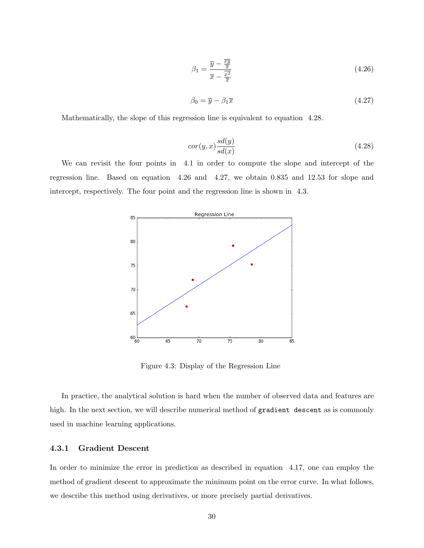$$
\beta_1 = \frac{\overline{y} - \frac{\overline{xy}}{\overline{x}}}{\overline{x} - \frac{\overline{x}^2}{\overline{x}}}
$$
\n(4.26)

$$
\beta_0 = \overline{y} - \beta_1 \overline{x} \tag{4.27}
$$

Mathematically, the slope of this regression line is equivalent to equation 4.28.

$$
cor(y, x) \frac{sd(y)}{sd(x)}
$$
\n
$$
(4.28)
$$

We can revisit the four points in 4.1 in order to compute the slope and intercept of the regression line. Based on equation 4.26 and 4.27, we obtain 0.835 and 12.53 for slope and intercept, respectively. The four point and the regression line is shown in 4.3.



Figure 4.3: Display of the Regression Line

In practice, the analytical solution is hard when the number of observed data and features are high. In the next section, we will describe numerical method of gradient descent as is commonly used in machine learning applications.

#### 4.3.1 Gradient Descent

In order to minimize the error in prediction as described in equation 4.17, one can employ the method of gradient descent to approximate the minimum point on the error curve. In what follows, we describe this method using derivatives, or more precisely partial derivatives.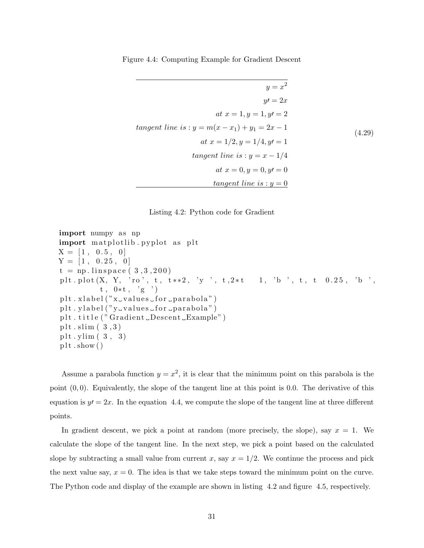Figure 4.4: Computing Example for Gradient Descent

$$
y = x2
$$
  
\n
$$
y' = 2x
$$
  
\n
$$
at x = 1, y = 1, y' = 2
$$
  
\ntangent line is:  $y = m(x - x_1) + y_1 = 2x - 1$   
\n
$$
at x = 1/2, y = 1/4, y' = 1
$$
  
\ntangent line is:  $y = x - 1/4$   
\nat  $x = 0, y = 0, y' = 0$   
\ntangent line is:  $y = 0$ 



import numpy a s np import m a t pl o tli b . p y pl o t a s p l t X = [ 1 , 0 . 5 , 0 ] Y = [ 1 , 0. 2 5 , 0 ] t = np . l i n s p a c e ( 3 , 3 , 2 0 0 ) p l t . pl o t (X, Y, ' r o ' , t , t ∗ ∗2 , ' y ' , t , 2 ∗ t 1 , ' b ' , t , t 0 . 2 5 , ' b ' , t , 0∗ t , ' g ' ) p l t . x l a b e l ( "x v al u e s f o r p a r a b ol a " ) p l t . y l a b e l ( "y v al u e s f o r p a r a b ol a " ) p l t . t i t l e ( " G r adien t Descent Example" ) p l t . slim ( 3 , 3 ) p l t . ylim ( 3 , 3 ) p l t . show ( )

Assume a parabola function  $y = x^2$ , it is clear that the minimum point on this parabola is the point  $(0, 0)$ . Equivalently, the slope of the tangent line at this point is 0.0. The derivative of this equation is  $y'=2x$ . In the equation 4.4, we compute the slope of the tangent line at three different points.

In gradient descent, we pick a point at random (more precisely, the slope), say  $x = 1$ . We calculate the slope of the tangent line. In the next step, we pick a point based on the calculated slope by subtracting a small value from current x, say  $x = 1/2$ . We continue the process and pick the next value say,  $x = 0$ . The idea is that we take steps toward the minimum point on the curve. The Python code and display of the example are shown in listing 4.2 and figure 4.5, respectively.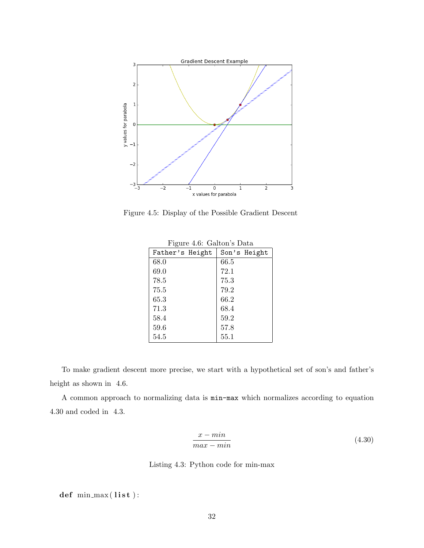

Figure 4.5: Display of the Possible Gradient Descent

| $\mathbf{r}$ is the contracted by $\mathbf{r}$ |              |  |  |  |
|------------------------------------------------|--------------|--|--|--|
| Father's Height                                | Son's Height |  |  |  |
| 68.0                                           | 66.5         |  |  |  |
| 69.0                                           | 72.1         |  |  |  |
| 78.5                                           | 75.3         |  |  |  |
| 75.5                                           | 79.2         |  |  |  |
| 65.3                                           | 66.2         |  |  |  |
| 71.3                                           | 68.4         |  |  |  |
| 58.4                                           | 59.2         |  |  |  |
| 59.6                                           | 57.8         |  |  |  |
| 54.5                                           | 55.1         |  |  |  |

Figure 4.6: Galton's Data

To make gradient descent more precise, we start with a hypothetical set of son's and father's height as shown in 4.6.

A common approach to normalizing data is min-max which normalizes according to equation 4.30 and coded in 4.3.

$$
\frac{x - min}{max - min} \tag{4.30}
$$

Listing 4.3: Python code for min-max

 $def$  min\_max $($ list $)$ :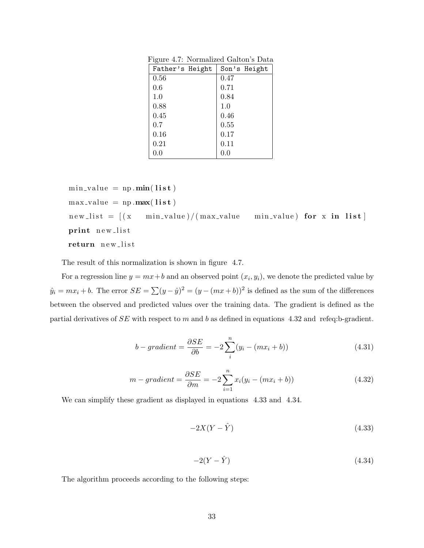| $\ldots$        |              |
|-----------------|--------------|
| Father's Height | Son's Height |
| 0.56            | 0.47         |
| 0.6             | 0.71         |
| 1.0             | 0.84         |
| 0.88            | 1.0          |
| 0.45            | 0.46         |
| 0.7             | 0.55         |
| 0.16            | 0.17         |
| 0.21            | 0.11         |
| 0.0             | $0.0\,$      |
|                 |              |

Figure 4.7: Normalized Galton's Data

 $min_value = np.min(list)$  $max_value = np.max(Iist)$  $new_list = [(x - min_value)/(max_value - min_value) for x in list]$ print new\_list return new\_list

The result of this normalization is shown in figure 4.7.

For a regression line  $y = mx + b$  and an observed point  $(x_i, y_i)$ , we denote the predicted value by  $\hat{y}_i = mx_i + b$ . The error  $SE = \sum (y - \hat{y})^2 = (y - (mx + b))^2$  is defined as the sum of the differences between the observed and predicted values over the training data. The gradient is defined as the partial derivatives of SE with respect to m and b as defined in equations 4.32 and refeq:b-gradient.

$$
b - gradient = \frac{\partial SE}{\partial b} = -2\sum_{i}^{n} (y_i - (mx_i + b))
$$
\n(4.31)

$$
m - gradient = \frac{\partial SE}{\partial m} = -2\sum_{i=1}^{n} x_i(y_i - (mx_i + b))
$$
\n(4.32)

We can simplify these gradient as displayed in equations 4.33 and 4.34.

$$
-2X(Y - \hat{Y})\tag{4.33}
$$

$$
-2(Y - \hat{Y})\tag{4.34}
$$

The algorithm proceeds according to the following steps: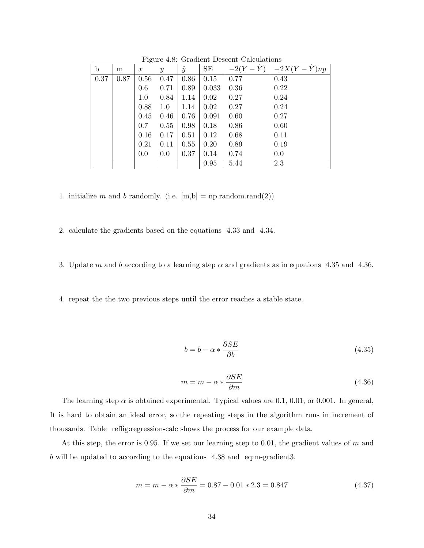| $\mathbf b$ | m    | $\check{ }$<br>$\boldsymbol{x}$ | $\mathcal{Y}$ | $\hat{y}$ | SE    | $-2(Y-\hat{Y})$ | $-2X(Y-\hat{Y})np$ |
|-------------|------|---------------------------------|---------------|-----------|-------|-----------------|--------------------|
| 0.37        | 0.87 | 0.56                            | 0.47          | 0.86      | 0.15  | 0.77            | 0.43               |
|             |      | 0.6                             | 0.71          | 0.89      | 0.033 | 0.36            | 0.22               |
|             |      | 1.0                             | 0.84          | 1.14      | 0.02  | 0.27            | 0.24               |
|             |      | 0.88                            | $1.0\,$       | 1.14      | 0.02  | 0.27            | 0.24               |
|             |      | 0.45                            | 0.46          | 0.76      | 0.091 | 0.60            | 0.27               |
|             |      | 0.7                             | 0.55          | 0.98      | 0.18  | 0.86            | 0.60               |
|             |      | 0.16                            | 0.17          | 0.51      | 0.12  | 0.68            | 0.11               |
|             |      | 0.21                            | 0.11          | 0.55      | 0.20  | 0.89            | 0.19               |
|             |      | 0.0                             | 0.0           | 0.37      | 0.14  | 0.74            | 0.0                |
|             |      |                                 |               |           | 0.95  | 5.44            | 2.3                |

Figure 4.8: Gradient Descent Calculations

1. initialize m and b randomly. (i.e.  $[m,b] = np.random.randn(2))$ 

2. calculate the gradients based on the equations 4.33 and 4.34.

3. Update m and b according to a learning step  $\alpha$  and gradients as in equations 4.35 and 4.36.

4. repeat the the two previous steps until the error reaches a stable state.

$$
b = b - \alpha * \frac{\partial SE}{\partial b} \tag{4.35}
$$

$$
m = m - \alpha * \frac{\partial SE}{\partial m} \tag{4.36}
$$

The learning step  $\alpha$  is obtained experimental. Typical values are 0.1, 0.01, or 0.001. In general, It is hard to obtain an ideal error, so the repeating steps in the algorithm runs in increment of thousands. Table reffig:regression-calc shows the process for our example data.

At this step, the error is 0.95. If we set our learning step to 0.01, the gradient values of m and b will be updated to according to the equations 4.38 and eq:m-gradient3.

$$
m = m - \alpha * \frac{\partial SE}{\partial m} = 0.87 - 0.01 * 2.3 = 0.847
$$
\n(4.37)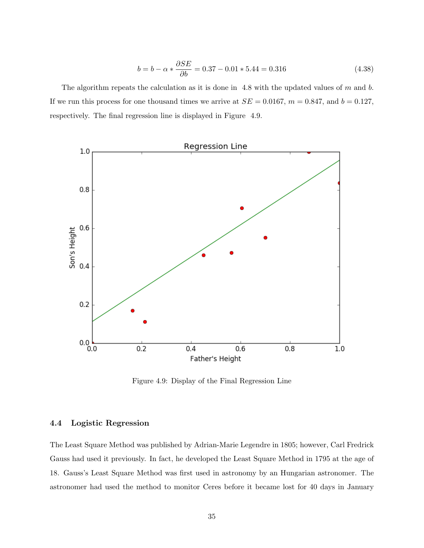$$
b = b - \alpha * \frac{\partial SE}{\partial b} = 0.37 - 0.01 * 5.44 = 0.316 \tag{4.38}
$$

The algorithm repeats the calculation as it is done in 4.8 with the updated values of  $m$  and  $b$ . If we run this process for one thousand times we arrive at  $SE = 0.0167$ ,  $m = 0.847$ , and  $b = 0.127$ , respectively. The final regression line is displayed in Figure 4.9.



Figure 4.9: Display of the Final Regression Line

#### 4.4 Logistic Regression

The Least Square Method was published by Adrian-Marie Legendre in 1805; however, Carl Fredrick Gauss had used it previously. In fact, he developed the Least Square Method in 1795 at the age of 18. Gauss's Least Square Method was first used in astronomy by an Hungarian astronomer. The astronomer had used the method to monitor Ceres before it became lost for 40 days in January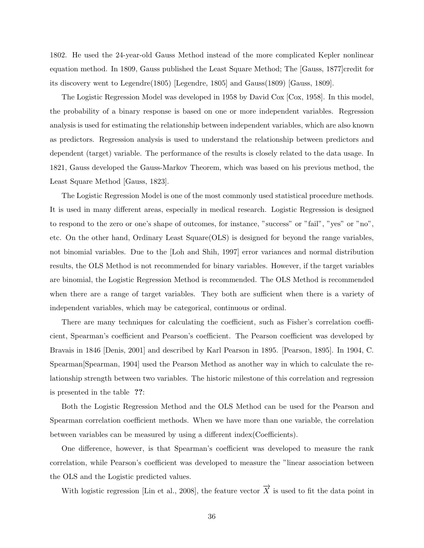1802. He used the 24-year-old Gauss Method instead of the more complicated Kepler nonlinear equation method. In 1809, Gauss published the Least Square Method; The [Gauss, 1877]credit for its discovery went to Legendre(1805) [Legendre, 1805] and Gauss(1809) [Gauss, 1809].

The Logistic Regression Model was developed in 1958 by David Cox [Cox, 1958]. In this model, the probability of a binary response is based on one or more independent variables. Regression analysis is used for estimating the relationship between independent variables, which are also known as predictors. Regression analysis is used to understand the relationship between predictors and dependent (target) variable. The performance of the results is closely related to the data usage. In 1821, Gauss developed the Gauss-Markov Theorem, which was based on his previous method, the Least Square Method [Gauss, 1823].

The Logistic Regression Model is one of the most commonly used statistical procedure methods. It is used in many different areas, especially in medical research. Logistic Regression is designed to respond to the zero or one's shape of outcomes, for instance, "success" or "fail", "yes" or "no", etc. On the other hand, Ordinary Least Square(OLS) is designed for beyond the range variables, not binomial variables. Due to the [Loh and Shih, 1997] error variances and normal distribution results, the OLS Method is not recommended for binary variables. However, if the target variables are binomial, the Logistic Regression Method is recommended. The OLS Method is recommended when there are a range of target variables. They both are sufficient when there is a variety of independent variables, which may be categorical, continuous or ordinal.

There are many techniques for calculating the coefficient, such as Fisher's correlation coefficient, Spearman's coefficient and Pearson's coefficient. The Pearson coefficient was developed by Bravais in 1846 [Denis, 2001] and described by Karl Pearson in 1895. [Pearson, 1895]. In 1904, C. Spearman[Spearman, 1904] used the Pearson Method as another way in which to calculate the relationship strength between two variables. The historic milestone of this correlation and regression is presented in the table ??:

Both the Logistic Regression Method and the OLS Method can be used for the Pearson and Spearman correlation coefficient methods. When we have more than one variable, the correlation between variables can be measured by using a different index(Coefficients).

One difference, however, is that Spearman's coefficient was developed to measure the rank correlation, while Pearson's coefficient was developed to measure the "linear association between the OLS and the Logistic predicted values.

With logistic regression [Lin et al., 2008], the feature vector  $\overrightarrow{X}$  is used to fit the data point in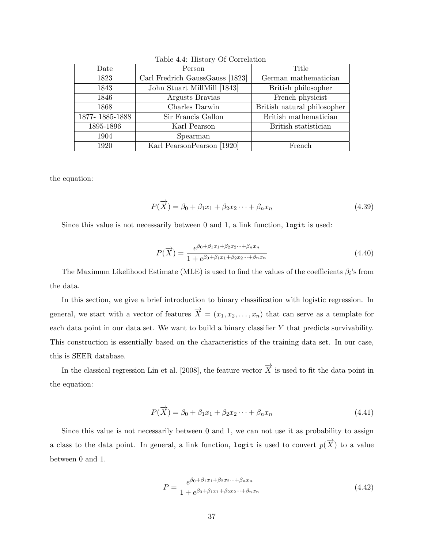| Date           | Person                          | Title                       |
|----------------|---------------------------------|-----------------------------|
| 1823           | Carl Fredrich GaussGauss [1823] | German mathematician        |
| 1843           | John Stuart MillMill [1843]     | British philosopher         |
| 1846           | Argusts Bravias                 | French physicist            |
| 1868           | Charles Darwin                  | British natural philosopher |
| 1877-1885-1888 | Sir Francis Gallon              | British mathematician       |
| 1895-1896      | Karl Pearson                    | British statistician        |
| 1904           | Spearman                        |                             |
| 1920           | Karl Pearson Pearson [1920]     | French                      |

Table 4.4: History Of Correlation

the equation:

$$
P(\overrightarrow{X}) = \beta_0 + \beta_1 x_1 + \beta_2 x_2 \cdots + \beta_n x_n \tag{4.39}
$$

Since this value is not necessarily between 0 and 1, a link function, logit is used:

$$
P(\overrightarrow{X}) = \frac{e^{\beta_0 + \beta_1 x_1 + \beta_2 x_2 \cdots + \beta_n x_n}}{1 + e^{\beta_0 + \beta_1 x_1 + \beta_2 x_2 \cdots + \beta_n x_n}}
$$
(4.40)

The Maximum Likelihood Estimate (MLE) is used to find the values of the coefficients  $\beta_i$ 's from the data.

In this section, we give a brief introduction to binary classification with logistic regression. In general, we start with a vector of features  $\overrightarrow{X} = (x_1, x_2, \ldots, x_n)$  that can serve as a template for each data point in our data set. We want to build a binary classifier Y that predicts survivability. This construction is essentially based on the characteristics of the training data set. In our case, this is SEER database.

In the classical regression Lin et al. [2008], the feature vector  $\overrightarrow{X}$  is used to fit the data point in the equation:

$$
P(\overrightarrow{X}) = \beta_0 + \beta_1 x_1 + \beta_2 x_2 \cdots + \beta_n x_n \tag{4.41}
$$

Since this value is not necessarily between 0 and 1, we can not use it as probability to assign a class to the data point. In general, a link function,  $\texttt{logit}$  is used to convert  $p(\overrightarrow{X})$  to a value between 0 and 1.

$$
P = \frac{e^{\beta_0 + \beta_1 x_1 + \beta_2 x_2 \cdots + \beta_n x_n}}{1 + e^{\beta_0 + \beta_1 x_1 + \beta_2 x_2 \cdots + \beta_n x_n}}
$$
(4.42)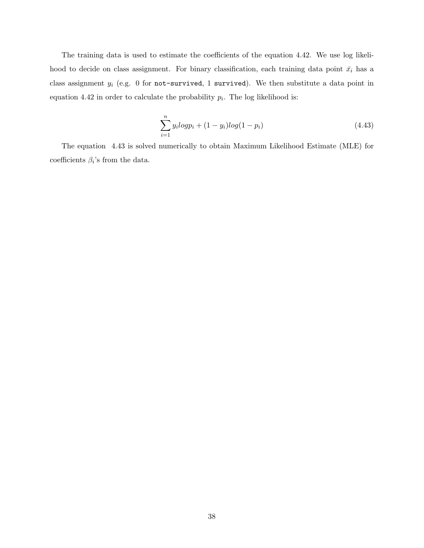The training data is used to estimate the coefficients of the equation 4.42. We use log likelihood to decide on class assignment. For binary classification, each training data point  $\bar{x}_i$  has a class assignment  $y_i$  (e.g. 0 for not-survived, 1 survived). We then substitute a data point in equation 4.42 in order to calculate the probability  $p_i$ . The log likelihood is:

$$
\sum_{i=1}^{n} y_i log p_i + (1 - y_i) log (1 - p_i)
$$
\n(4.43)

The equation 4.43 is solved numerically to obtain Maximum Likelihood Estimate (MLE) for coefficients  $\beta_i$ 's from the data.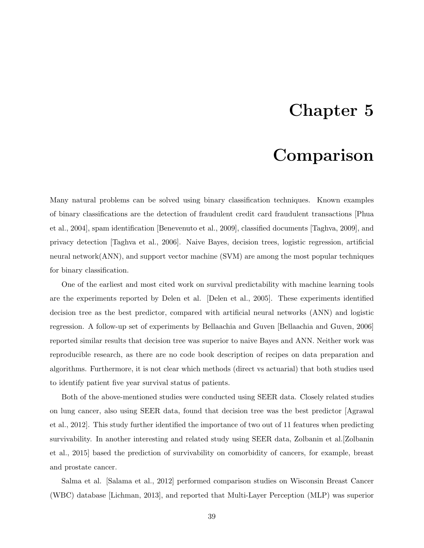# Chapter 5

# Comparison

Many natural problems can be solved using binary classification techniques. Known examples of binary classifications are the detection of fraudulent credit card fraudulent transactions [Phua et al., 2004], spam identification [Benevenuto et al., 2009], classified documents [Taghva, 2009], and privacy detection [Taghva et al., 2006]. Naive Bayes, decision trees, logistic regression, artificial neural network(ANN), and support vector machine (SVM) are among the most popular techniques for binary classification.

One of the earliest and most cited work on survival predictability with machine learning tools are the experiments reported by Delen et al. [Delen et al., 2005]. These experiments identified decision tree as the best predictor, compared with artificial neural networks (ANN) and logistic regression. A follow-up set of experiments by Bellaachia and Guven [Bellaachia and Guven, 2006] reported similar results that decision tree was superior to naive Bayes and ANN. Neither work was reproducible research, as there are no code book description of recipes on data preparation and algorithms. Furthermore, it is not clear which methods (direct vs actuarial) that both studies used to identify patient five year survival status of patients.

Both of the above-mentioned studies were conducted using SEER data. Closely related studies on lung cancer, also using SEER data, found that decision tree was the best predictor [Agrawal et al., 2012]. This study further identified the importance of two out of 11 features when predicting survivability. In another interesting and related study using SEER data, Zolbanin et al.[Zolbanin et al., 2015] based the prediction of survivability on comorbidity of cancers, for example, breast and prostate cancer.

Salma et al. [Salama et al., 2012] performed comparison studies on Wisconsin Breast Cancer (WBC) database [Lichman, 2013], and reported that Multi-Layer Perception (MLP) was superior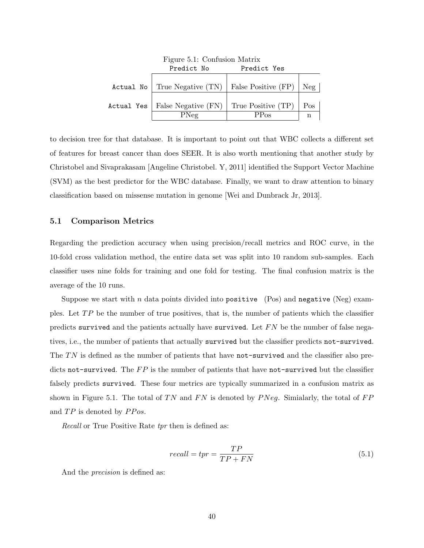|            | rigure 5.1: Confusion Matrix                         |             |     |  |  |  |
|------------|------------------------------------------------------|-------------|-----|--|--|--|
|            | Predict No                                           | Predict Yes |     |  |  |  |
|            | Actual No   True Negative (TN)   False Positive (FP) |             | Neg |  |  |  |
|            |                                                      |             |     |  |  |  |
| Actual Yes | False Negative $(FN)$ True Positive $(TP)$           |             | Pos |  |  |  |
|            | PNeq                                                 | $PP_{OS}$   | n   |  |  |  |

 $E: F1G C$   $S: M1$ 

to decision tree for that database. It is important to point out that WBC collects a different set of features for breast cancer than does SEER. It is also worth mentioning that another study by Christobel and Sivaprakasam [Angeline Christobel. Y, 2011] identified the Support Vector Machine (SVM) as the best predictor for the WBC database. Finally, we want to draw attention to binary classification based on missense mutation in genome [Wei and Dunbrack Jr, 2013].

#### 5.1 Comparison Metrics

Regarding the prediction accuracy when using precision/recall metrics and ROC curve, in the 10-fold cross validation method, the entire data set was split into 10 random sub-samples. Each classifier uses nine folds for training and one fold for testing. The final confusion matrix is the average of the 10 runs.

Suppose we start with n data points divided into positive (Pos) and negative (Neg) examples. Let  $TP$  be the number of true positives, that is, the number of patients which the classifier predicts survived and the patients actually have survived. Let  $FN$  be the number of false negatives, i.e., the number of patients that actually survived but the classifier predicts not-survived. The  $TN$  is defined as the number of patients that have not-survived and the classifier also predicts not-survived. The  $FP$  is the number of patients that have not-survived but the classifier falsely predicts survived. These four metrics are typically summarized in a confusion matrix as shown in Figure 5.1. The total of TN and FN is denoted by  $P N e g$ . Similarly, the total of  $FP$ and  $TP$  is denoted by  $PPos$ .

Recall or True Positive Rate tpr then is defined as:

$$
recall = tpr = \frac{TP}{TP + FN} \tag{5.1}
$$

And the precision is defined as: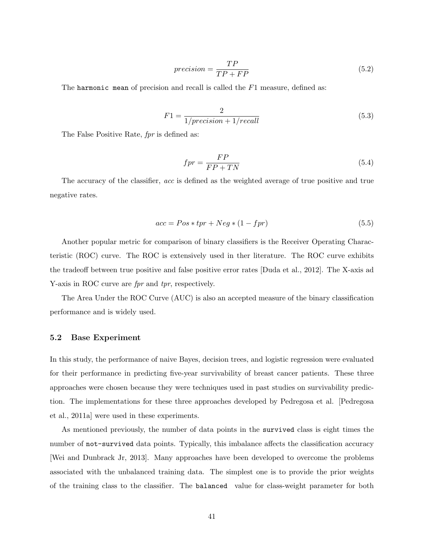$$
precision = \frac{TP}{TP + FP}
$$
\n
$$
(5.2)
$$

The harmonic mean of precision and recall is called the  $F1$  measure, defined as:

$$
F1 = \frac{2}{1/precision + 1/recall}
$$
\n(5.3)

The False Positive Rate, *fpr* is defined as:

$$
fpr = \frac{FP}{FP + TN} \tag{5.4}
$$

The accuracy of the classifier, acc is defined as the weighted average of true positive and true negative rates.

$$
acc = Pos * tpr + Neg * (1 - fpr)
$$
\n
$$
(5.5)
$$

Another popular metric for comparison of binary classifiers is the Receiver Operating Characteristic (ROC) curve. The ROC is extensively used in ther literature. The ROC curve exhibits the tradeoff between true positive and false positive error rates [Duda et al., 2012]. The X-axis ad Y-axis in ROC curve are *fpr* and *tpr*, respectively.

The Area Under the ROC Curve (AUC) is also an accepted measure of the binary classification performance and is widely used.

#### 5.2 Base Experiment

In this study, the performance of naive Bayes, decision trees, and logistic regression were evaluated for their performance in predicting five-year survivability of breast cancer patients. These three approaches were chosen because they were techniques used in past studies on survivability prediction. The implementations for these three approaches developed by Pedregosa et al. [Pedregosa et al., 2011a] were used in these experiments.

As mentioned previously, the number of data points in the survived class is eight times the number of not-survived data points. Typically, this imbalance affects the classification accuracy [Wei and Dunbrack Jr, 2013]. Many approaches have been developed to overcome the problems associated with the unbalanced training data. The simplest one is to provide the prior weights of the training class to the classifier. The balanced value for class-weight parameter for both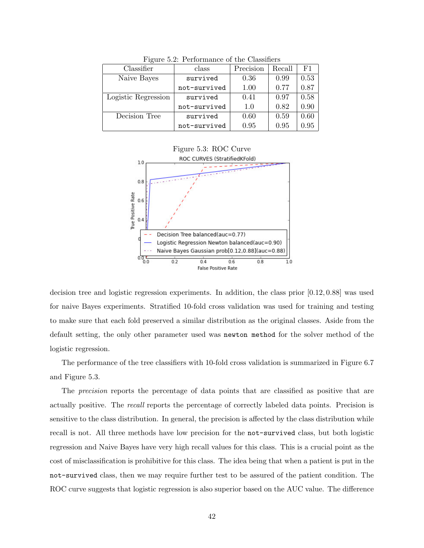| Classifier          | class        | Precision | Recall | F1   |  |  |  |
|---------------------|--------------|-----------|--------|------|--|--|--|
| Naive Bayes         | survived     | 0.36      | 0.99   | 0.53 |  |  |  |
|                     | not-survived | 1.00      | 0.77   | 0.87 |  |  |  |
| Logistic Regression | survived     | 0.41      | 0.97   | 0.58 |  |  |  |
|                     | not-survived | 1.0       | 0.82   | 0.90 |  |  |  |
| Decision Tree       | survived     | 0.60      | 0.59   | 0.60 |  |  |  |
|                     | not-survived | 0.95      | 0.95   | 0.95 |  |  |  |

Figure 5.2: Performance of the Classifiers



decision tree and logistic regression experiments. In addition, the class prior [0.12, 0.88] was used for naive Bayes experiments. Stratified 10-fold cross validation was used for training and testing to make sure that each fold preserved a similar distribution as the original classes. Aside from the default setting, the only other parameter used was newton method for the solver method of the logistic regression.

The performance of the tree classifiers with 10-fold cross validation is summarized in Figure 6.7 and Figure 5.3.

The precision reports the percentage of data points that are classified as positive that are actually positive. The recall reports the percentage of correctly labeled data points. Precision is sensitive to the class distribution. In general, the precision is affected by the class distribution while recall is not. All three methods have low precision for the not-survived class, but both logistic regression and Naive Bayes have very high recall values for this class. This is a crucial point as the cost of misclassification is prohibitive for this class. The idea being that when a patient is put in the not-survived class, then we may require further test to be assured of the patient condition. The ROC curve suggests that logistic regression is also superior based on the AUC value. The difference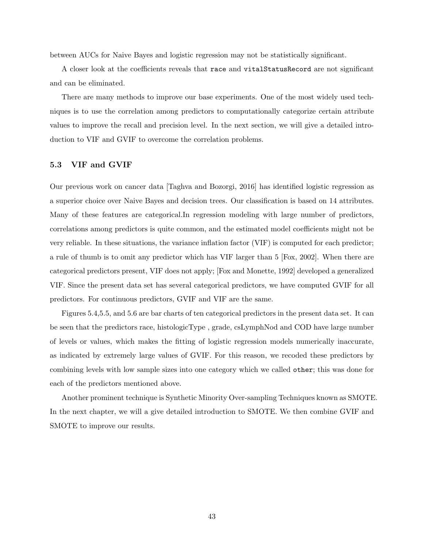between AUCs for Naive Bayes and logistic regression may not be statistically significant.

A closer look at the coefficients reveals that race and vitalStatusRecord are not significant and can be eliminated.

There are many methods to improve our base experiments. One of the most widely used techniques is to use the correlation among predictors to computationally categorize certain attribute values to improve the recall and precision level. In the next section, we will give a detailed introduction to VIF and GVIF to overcome the correlation problems.

#### 5.3 VIF and GVIF

Our previous work on cancer data [Taghva and Bozorgi, 2016] has identified logistic regression as a superior choice over Naive Bayes and decision trees. Our classification is based on 14 attributes. Many of these features are categorical.In regression modeling with large number of predictors, correlations among predictors is quite common, and the estimated model coefficients might not be very reliable. In these situations, the variance inflation factor (VIF) is computed for each predictor; a rule of thumb is to omit any predictor which has VIF larger than 5 [Fox, 2002]. When there are categorical predictors present, VIF does not apply; [Fox and Monette, 1992] developed a generalized VIF. Since the present data set has several categorical predictors, we have computed GVIF for all predictors. For continuous predictors, GVIF and VIF are the same.

Figures 5.4,5.5, and 5.6 are bar charts of ten categorical predictors in the present data set. It can be seen that the predictors race, histologicType , grade, csLymphNod and COD have large number of levels or values, which makes the fitting of logistic regression models numerically inaccurate, as indicated by extremely large values of GVIF. For this reason, we recoded these predictors by combining levels with low sample sizes into one category which we called other; this was done for each of the predictors mentioned above.

Another prominent technique is Synthetic Minority Over-sampling Techniques known as SMOTE. In the next chapter, we will a give detailed introduction to SMOTE. We then combine GVIF and SMOTE to improve our results.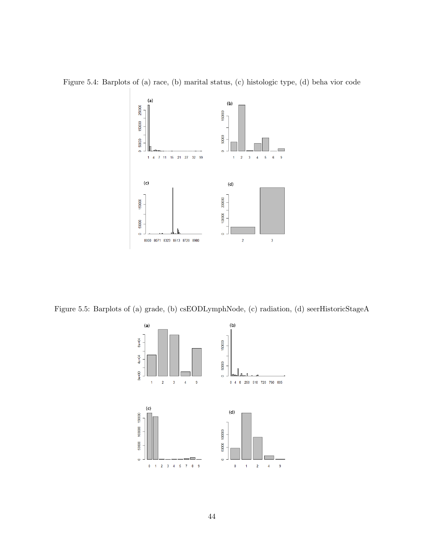Figure 5.4: Barplots of (a) race, (b) marital status, (c) histologic type, (d) beha vior code



Figure 5.5: Barplots of (a) grade, (b) csEODLymphNode, (c) radiation, (d) seerHistoricStageA

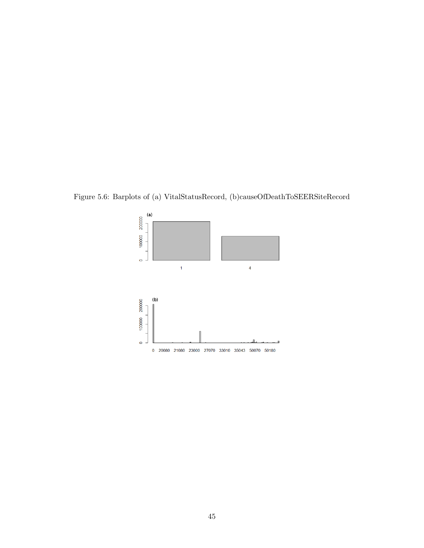Figure 5.6: Barplots of (a) VitalStatusRecord, (b)causeOfDeathToSEERSiteRecord

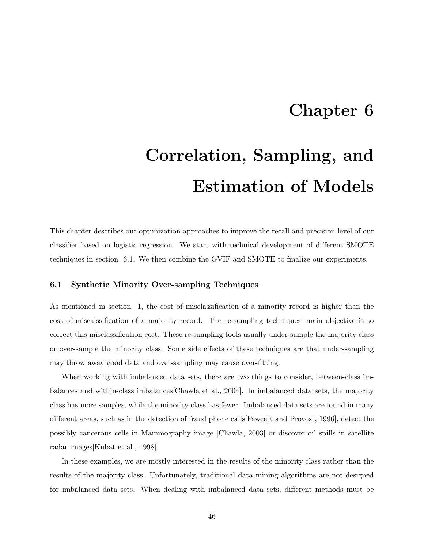# Chapter 6

# Correlation, Sampling, and Estimation of Models

This chapter describes our optimization approaches to improve the recall and precision level of our classifier based on logistic regression. We start with technical development of different SMOTE techniques in section 6.1. We then combine the GVIF and SMOTE to finalize our experiments.

#### 6.1 Synthetic Minority Over-sampling Techniques

As mentioned in section 1, the cost of misclassification of a minority record is higher than the cost of miscalssification of a majority record. The re-sampling techniques' main objective is to correct this misclassification cost. These re-sampling tools usually under-sample the majority class or over-sample the minority class. Some side effects of these techniques are that under-sampling may throw away good data and over-sampling may cause over-fitting.

When working with imbalanced data sets, there are two things to consider, between-class imbalances and within-class imbalances[Chawla et al., 2004]. In imbalanced data sets, the majority class has more samples, while the minority class has fewer. Imbalanced data sets are found in many different areas, such as in the detection of fraud phone calls[Fawcett and Provost, 1996], detect the possibly cancerous cells in Mammography image [Chawla, 2003] or discover oil spills in satellite radar images[Kubat et al., 1998].

In these examples, we are mostly interested in the results of the minority class rather than the results of the majority class. Unfortunately, traditional data mining algorithms are not designed for imbalanced data sets. When dealing with imbalanced data sets, different methods must be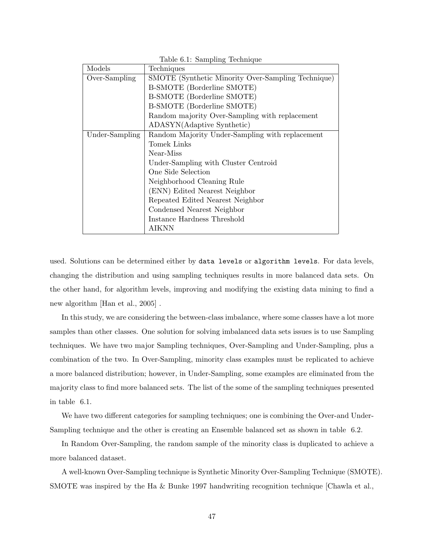| Models         | Techniques                                         |
|----------------|----------------------------------------------------|
| Over-Sampling  | SMOTE (Synthetic Minority Over-Sampling Technique) |
|                | <b>B-SMOTE</b> (Borderline SMOTE)                  |
|                | <b>B-SMOTE</b> (Borderline SMOTE)                  |
|                | <b>B-SMOTE</b> (Borderline SMOTE)                  |
|                | Random majority Over-Sampling with replacement     |
|                | ADASYN(Adaptive Synthetic)                         |
| Under-Sampling | Random Majority Under-Sampling with replacement    |
|                | Tomek Links                                        |
|                | Near-Miss                                          |
|                | Under-Sampling with Cluster Centroid               |
|                | One Side Selection                                 |
|                | Neighborhood Cleaning Rule                         |
|                | (ENN) Edited Nearest Neighbor                      |
|                | Repeated Edited Nearest Neighbor                   |
|                | Condensed Nearest Neighbor                         |
|                | Instance Hardness Threshold                        |
|                | AIKNN                                              |

Table 6.1: Sampling Technique

used. Solutions can be determined either by data levels or algorithm levels. For data levels, changing the distribution and using sampling techniques results in more balanced data sets. On the other hand, for algorithm levels, improving and modifying the existing data mining to find a new algorithm [Han et al., 2005] .

In this study, we are considering the between-class imbalance, where some classes have a lot more samples than other classes. One solution for solving imbalanced data sets issues is to use Sampling techniques. We have two major Sampling techniques, Over-Sampling and Under-Sampling, plus a combination of the two. In Over-Sampling, minority class examples must be replicated to achieve a more balanced distribution; however, in Under-Sampling, some examples are eliminated from the majority class to find more balanced sets. The list of the some of the sampling techniques presented in table 6.1.

We have two different categories for sampling techniques; one is combining the Over-and Under-Sampling technique and the other is creating an Ensemble balanced set as shown in table 6.2.

In Random Over-Sampling, the random sample of the minority class is duplicated to achieve a more balanced dataset.

A well-known Over-Sampling technique is Synthetic Minority Over-Sampling Technique (SMOTE). SMOTE was inspired by the Ha & Bunke 1997 handwriting recognition technique [Chawla et al.,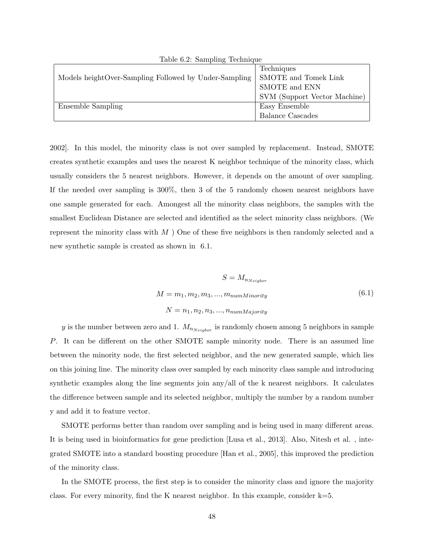| $10010$ $011$ , $00111$ $011$ $01$                    |                              |
|-------------------------------------------------------|------------------------------|
|                                                       | Techniques                   |
| Models heightOver-Sampling Followed by Under-Sampling | SMOTE and Tomek Link         |
|                                                       | SMOTE and ENN                |
|                                                       | SVM (Support Vector Machine) |
| Ensemble Sampling                                     | Easy Ensemble                |
|                                                       | <b>Balance Cascades</b>      |

Table 6.2: Sampling Technique

2002]. In this model, the minority class is not over sampled by replacement. Instead, SMOTE creates synthetic examples and uses the nearest K neighbor technique of the minority class, which usually considers the 5 nearest neighbors. However, it depends on the amount of over sampling. If the needed over sampling is 300%, then 3 of the 5 randomly chosen nearest neighbors have one sample generated for each. Amongest all the minority class neighbors, the samples with the smallest Euclidean Distance are selected and identified as the select minority class neighbors. (We represent the minority class with  $M$  ) One of these five neighbors is then randomly selected and a new synthetic sample is created as shown in 6.1.

$$
S = M_{n_{Neigbor}}
$$
  
\n
$$
M = m_1, m_2, m_3, ..., m_{numMinority}
$$
\n
$$
N = n_1, n_2, n_3, ..., n_{numMajority}
$$
\n(6.1)

y is the number between zero and 1.  $M_{n_{Neiabor}}$  is randomly chosen among 5 neighbors in sample P. It can be different on the other SMOTE sample minority node. There is an assumed line between the minority node, the first selected neighbor, and the new generated sample, which lies on this joining line. The minority class over sampled by each minority class sample and introducing synthetic examples along the line segments join any/all of the k nearest neighbors. It calculates the difference between sample and its selected neighbor, multiply the number by a random number y and add it to feature vector.

SMOTE performs better than random over sampling and is being used in many different areas. It is being used in bioinformatics for gene prediction [Lusa et al., 2013]. Also, Nitesh et al. , integrated SMOTE into a standard boosting procedure [Han et al., 2005], this improved the prediction of the minority class.

In the SMOTE process, the first step is to consider the minority class and ignore the majority class. For every minority, find the K nearest neighbor. In this example, consider  $k=5$ .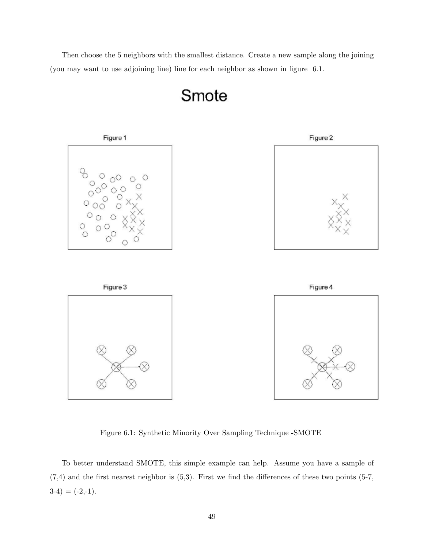Then choose the 5 neighbors with the smallest distance. Create a new sample along the joining (you may want to use adjoining line) line for each neighbor as shown in figure 6.1.



### Smote

Figure 6.1: Synthetic Minority Over Sampling Technique -SMOTE

To better understand SMOTE, this simple example can help. Assume you have a sample of  $(7,4)$  and the first nearest neighbor is  $(5,3)$ . First we find the differences of these two points  $(5-7, 1)$  $3-4) = (-2,-1).$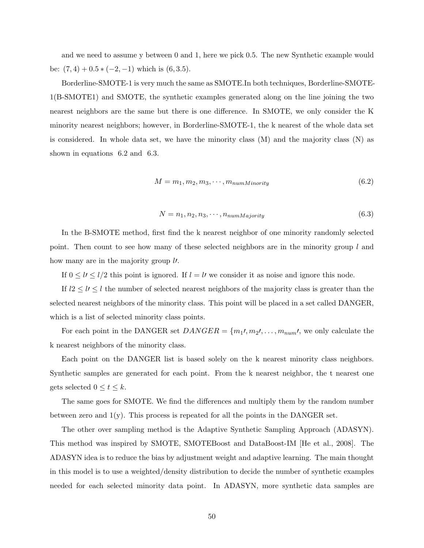and we need to assume y between 0 and 1, here we pick 0.5. The new Synthetic example would be:  $(7, 4) + 0.5 * (-2, -1)$  which is  $(6, 3.5)$ .

Borderline-SMOTE-1 is very much the same as SMOTE.In both techniques, Borderline-SMOTE-1(B-SMOTE1) and SMOTE, the synthetic examples generated along on the line joining the two nearest neighbors are the same but there is one difference. In SMOTE, we only consider the K minority nearest neighbors; however, in Borderline-SMOTE-1, the k nearest of the whole data set is considered. In whole data set, we have the minority class  $(M)$  and the majority class  $(N)$  as shown in equations 6.2 and 6.3.

$$
M = m_1, m_2, m_3, \cdots, m_{numMinority}
$$
\n
$$
(6.2)
$$

$$
N = n_1, n_2, n_3, \cdots, n_{numMajority}
$$
\n
$$
(6.3)
$$

In the B-SMOTE method, first find the k nearest neighbor of one minority randomly selected point. Then count to see how many of these selected neighbors are in the minority group l and how many are in the majority group  $\nu$ .

If  $0 \leq l \leq l/2$  this point is ignored. If  $l = l$  we consider it as noise and ignore this node.

If  $l2 \leq l \leq l$  the number of selected nearest neighbors of the majority class is greater than the selected nearest neighbors of the minority class. This point will be placed in a set called DANGER, which is a list of selected minority class points.

For each point in the DANGER set  $DANGER = \{m_1, m_2, \ldots, m_{num}\}$ , we only calculate the k nearest neighbors of the minority class.

Each point on the DANGER list is based solely on the k nearest minority class neighbors. Synthetic samples are generated for each point. From the k nearest neighbor, the t nearest one gets selected  $0 \le t \le k$ .

The same goes for SMOTE. We find the differences and multiply them by the random number between zero and  $1(y)$ . This process is repeated for all the points in the DANGER set.

The other over sampling method is the Adaptive Synthetic Sampling Approach (ADASYN). This method was inspired by SMOTE, SMOTEBoost and DataBoost-IM [He et al., 2008]. The ADASYN idea is to reduce the bias by adjustment weight and adaptive learning. The main thought in this model is to use a weighted/density distribution to decide the number of synthetic examples needed for each selected minority data point. In ADASYN, more synthetic data samples are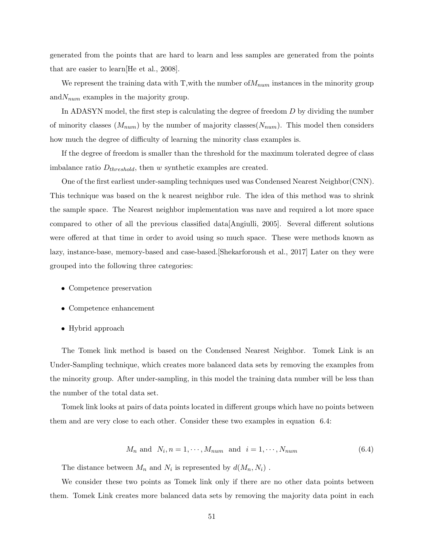generated from the points that are hard to learn and less samples are generated from the points that are easier to learn[He et al., 2008].

We represent the training data with T, with the number of  $M_{num}$  instances in the minority group and  $N_{num}$  examples in the majority group.

In ADASYN model, the first step is calculating the degree of freedom D by dividing the number of minority classes  $(M_{num})$  by the number of majority classes  $(N_{num})$ . This model then considers how much the degree of difficulty of learning the minority class examples is.

If the degree of freedom is smaller than the threshold for the maximum tolerated degree of class imbalance ratio  $D_{threshold}$ , then w synthetic examples are created.

One of the first earliest under-sampling techniques used was Condensed Nearest Neighbor(CNN). This technique was based on the k nearest neighbor rule. The idea of this method was to shrink the sample space. The Nearest neighbor implementation was nave and required a lot more space compared to other of all the previous classified data[Angiulli, 2005]. Several different solutions were offered at that time in order to avoid using so much space. These were methods known as lazy, instance-base, memory-based and case-based.[Shekarforoush et al., 2017] Later on they were grouped into the following three categories:

- Competence preservation
- Competence enhancement
- Hybrid approach

The Tomek link method is based on the Condensed Nearest Neighbor. Tomek Link is an Under-Sampling technique, which creates more balanced data sets by removing the examples from the minority group. After under-sampling, in this model the training data number will be less than the number of the total data set.

Tomek link looks at pairs of data points located in different groups which have no points between them and are very close to each other. Consider these two examples in equation 6.4:

$$
M_n \text{ and } N_i, n = 1, \cdots, M_{num} \text{ and } i = 1, \cdots, N_{num} \tag{6.4}
$$

The distance between  $M_n$  and  $N_i$  is represented by  $d(M_n, N_i)$ .

We consider these two points as Tomek link only if there are no other data points between them. Tomek Link creates more balanced data sets by removing the majority data point in each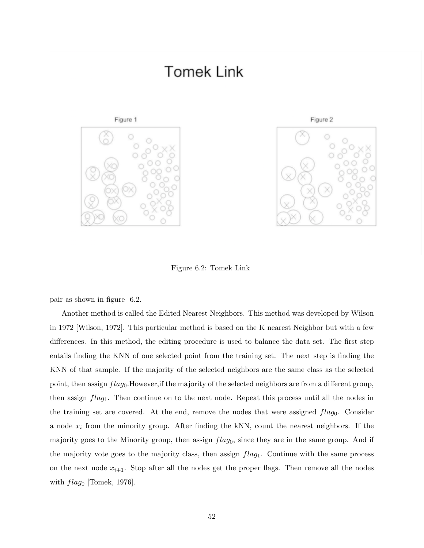### **Tomek Link**





Figure 6.2: Tomek Link

pair as shown in figure 6.2.

Another method is called the Edited Nearest Neighbors. This method was developed by Wilson in 1972 [Wilson, 1972]. This particular method is based on the K nearest Neighbor but with a few differences. In this method, the editing procedure is used to balance the data set. The first step entails finding the KNN of one selected point from the training set. The next step is finding the KNN of that sample. If the majority of the selected neighbors are the same class as the selected point, then assign  $flag_0$ . However, if the majority of the selected neighbors are from a different group, then assign  $flag_1$ . Then continue on to the next node. Repeat this process until all the nodes in the training set are covered. At the end, remove the nodes that were assigned  $flag_0$ . Consider a node  $x_i$  from the minority group. After finding the kNN, count the nearest neighbors. If the majority goes to the Minority group, then assign  $flag_0$ , since they are in the same group. And if the majority vote goes to the majority class, then assign  $flag_1$ . Continue with the same process on the next node  $x_{i+1}$ . Stop after all the nodes get the proper flags. Then remove all the nodes with  $flag_0$  [Tomek, 1976].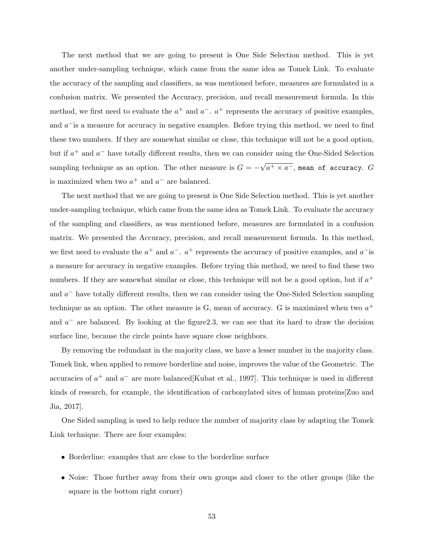The next method that we are going to present is One Side Selection method. This is yet another under-sampling technique, which came from the same idea as Tomek Link. To evaluate the accuracy of the sampling and classifiers, as was mentioned before, measures are formulated in a confusion matrix. We presented the Accuracy, precision, and recall measurement formula. In this method, we first need to evaluate the  $a^+$  and  $a^-$ .  $a^+$  represents the accuracy of positive examples, and  $a^-$  is a measure for accuracy in negative examples. Before trying this method, we need to find these two numbers. If they are somewhat similar or close, this technique will not be a good option, but if  $a^+$  and  $a^-$  have totally different results, then we can consider using the One-Sided Selection sampling technique as an option. The other measure is  $G = -$ √  $\overline{a^+ \times a^-}$ , mean of accuracy.  $G$ is maximized when two  $a^+$  and  $a^-$  are balanced.

The next method that we are going to present is One Side Selection method. This is yet another under-sampling technique, which came from the same idea as Tomek Link. To evaluate the accuracy of the sampling and classifiers, as was mentioned before, measures are formulated in a confusion matrix. We presented the Accuracy, precision, and recall measurement formula. In this method, we first need to evaluate the  $a^+$  and  $a^-$ .  $a^+$  represents the accuracy of positive examples, and  $a^-$  is a measure for accuracy in negative examples. Before trying this method, we need to find these two numbers. If they are somewhat similar or close, this technique will not be a good option, but if  $a^+$ and  $a^-$  have totally different results, then we can consider using the One-Sided Selection sampling technique as an option. The other measure is G, mean of accuracy. G is maximized when two  $a^+$ and  $a^-$  are balanced. By looking at the figure 2.3, we can see that its hard to draw the decision surface line, because the circle points have square close neighbors.

By removing the redundant in the majority class, we have a lesser number in the majority class. Tomek link, when applied to remove borderline and noise, improves the value of the Geometric. The accuracies of  $a^+$  and  $a^-$  are more balanced Kubat et al., 1997. This technique is used in different kinds of research, for example, the identification of carbonylated sites of human proteins[Zuo and Jia, 2017].

One Sided sampling is used to help reduce the number of majority class by adapting the Tomek Link technique. There are four examples:

- Borderline: examples that are close to the borderline surface
- Noise: Those further away from their own groups and closer to the other groups (like the square in the bottom right corner)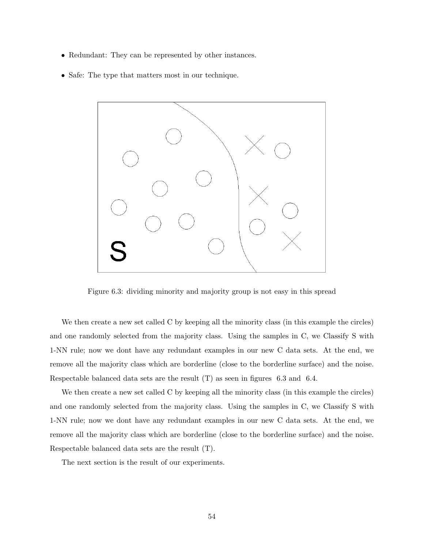- Redundant: They can be represented by other instances.
- Safe: The type that matters most in our technique.



Figure 6.3: dividing minority and majority group is not easy in this spread

We then create a new set called C by keeping all the minority class (in this example the circles) and one randomly selected from the majority class. Using the samples in C, we Classify S with 1-NN rule; now we dont have any redundant examples in our new C data sets. At the end, we remove all the majority class which are borderline (close to the borderline surface) and the noise. Respectable balanced data sets are the result (T) as seen in figures 6.3 and 6.4.

We then create a new set called C by keeping all the minority class (in this example the circles) and one randomly selected from the majority class. Using the samples in C, we Classify S with 1-NN rule; now we dont have any redundant examples in our new C data sets. At the end, we remove all the majority class which are borderline (close to the borderline surface) and the noise. Respectable balanced data sets are the result (T).

The next section is the result of our experiments.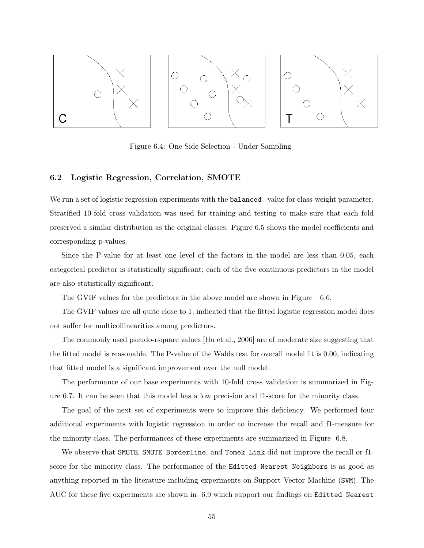

Figure 6.4: One Side Selection - Under Sampling

#### 6.2 Logistic Regression, Correlation, SMOTE

We run a set of logistic regression experiments with the **balanced** value for class-weight parameter. Stratified 10-fold cross validation was used for training and testing to make sure that each fold preserved a similar distribution as the original classes. Figure 6.5 shows the model coefficients and corresponding p-values.

Since the P-value for at least one level of the factors in the model are less than 0.05, each categorical predictor is statistically significant; each of the five continuous predictors in the model are also statistically significant.

The GVIF values for the predictors in the above model are shown in Figure 6.6.

The GVIF values are all quite close to 1, indicated that the fitted logistic regression model does not suffer for multicollinearities among predictors.

The commonly used pseudo-rsquare values [Hu et al., 2006] are of moderate size suggesting that the fitted model is reasonable. The P-value of the Walds test for overall model fit is 0.00, indicating that fitted model is a significant improvement over the null model.

The performance of our base experiments with 10-fold cross validation is summarized in Figure 6.7. It can be seen that this model has a low precision and f1-score for the minority class.

The goal of the next set of experiments were to improve this deficiency. We performed four additional experiments with logistic regression in order to increase the recall and f1-measure for the minority class. The performances of these experiments are summarized in Figure 6.8.

We observe that SMOTE, SMOTE Borderline, and Tomek Link did not improve the recall or f1 score for the minority class. The performance of the Editted Nearest Neighbors is as good as anything reported in the literature including experiments on Support Vector Machine (SVM). The AUC for these five experiments are shown in 6.9 which support our findings on Editted Nearest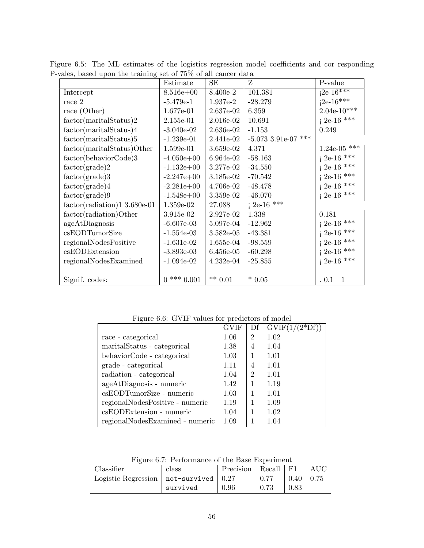|                               | Estimate      | SE          | Z                   | P-value                      |
|-------------------------------|---------------|-------------|---------------------|------------------------------|
| Intercept                     | $8.516e + 00$ | 8.400e-2    | 101.381             | $i^{2e-16^{*\overline{**}}}$ |
| race 2                        | $-5.479e-1$   | $1.937e-2$  | $-28.279$           | $i^{2e-16***}$               |
| race (Other)                  | 1.677e-01     | 2.637e-02   | 6.359               | $2.04e-10***$                |
| factor(martialStatus)2        | 2.155e-01     | $2.016e-02$ | 10.691              | $i$ 2e-16 ***                |
| factor(martialStatus)4        | $-3.040e-02$  | $2.636e-02$ | $-1.153$            | 0.249                        |
| factor(marital Status)5       | $-1.239e-01$  | 2.441e-02   | -5.073 3.91e-07 *** |                              |
| factor(maritalStatus)Other    | 1.599e-01     | 3.659e-02   | 4.371               | 1.24e-05 ***                 |
| factor(behaviorCode)3         | $-4.050e+00$  | 6.964e-02   | $-58.163$           | $i$ 2e-16 ***                |
| $factor(\text{grade})2$       | $-1.132e+00$  | 3.277e-02   | $-34.550$           | $i$ 2e-16 ***                |
| $factor(\text{grade})3$       | $-2.247e+00$  | $3.185e-02$ | $-70.542$           | $i$ 2e-16 <sup>***</sup>     |
| $factor(\text{grade})4$       | $-2.281e+00$  | 4.706e-02   | $-48.478$           | $i$ 2e-16 <sup>***</sup>     |
| $factor(\text{grade})9$       | $-1.548e+00$  | $3.359e-02$ | $-46.070$           | $i$ 2e-16 <sup>***</sup>     |
| $factor(radiation)13.680e-01$ | $1.359e-02$   | 27.088      | $i$ 2e-16 ***       |                              |
| factor(radiation)Other        | 3.915e-02     | 2.927e-02   | 1.338               | 0.181                        |
| ageAtDiagnosis                | $-6.607e-03$  | $5.097e-04$ | $-12.962$           | $i$ 2e-16 ***                |
| csEODTumorSize                | $-1.554e-03$  | $3.582e-05$ | $-43.381$           | $i$ 2e-16 ***                |
| regionalNodesPositive         | $-1.631e-02$  | $1.655e-04$ | $-98.559$           | $i$ 2e-16 <sup>***</sup>     |
| csEODExtension                | $-3.893e-03$  | $6.456e-05$ | $-60.298$           | $i$ 2e-16 ***                |
| regionalNodesExamined         | $-1.094e-02$  | $4.232e-04$ | $-25.855$           | $i$ 2e-16 <sup>***</sup>     |
|                               |               |             |                     |                              |
| Signif. codes:                | $0***0.001$   | $** 0.01$   | $*0.05$             | 0.1<br>1                     |

Figure 6.5: The ML estimates of the logistics regression model coefficients and cor responding P-vales, based upon the training set of 75% of all cancer data

Figure 6.6: GVIF values for predictors of model

|                                 | <b>GVIF</b> | Df             | $GVIF(1/(2*Df))$ |
|---------------------------------|-------------|----------------|------------------|
| race - categorical              | 1.06        | $\overline{2}$ | 1.02             |
| marital Status - categorical    | 1.38        | 4              | 1.04             |
| behaviorCode - categorical      | 1.03        | 1              | 1.01             |
| grade - categorical             | 1.11        | 4              | 1.01             |
| radiation - categorical         | 1.04        | $\overline{2}$ | 1.01             |
| ageAtDiagnosis - numeric        | 1.42        | 1              | 1.19             |
| csEODTumorSize - numeric        | 1.03        | 1              | 1.01             |
| regionalNodesPositive - numeric | 1.19        |                | 1.09             |
| csEODExtension - numeric        | 1.04        | 1              | 1.02             |
| regionalNodesExamined - numeric | 1.09        |                | 1.04             |

Figure 6.7: Performance of the Base Experiment

| Classifier                                  | class    | Precision   Recall |      | ' F1         | AUC  |
|---------------------------------------------|----------|--------------------|------|--------------|------|
| Logistic Regression   not-survived   $0.27$ |          |                    | 0.77 | $0.40 \perp$ | 0.75 |
|                                             | survived | 0.96               | 0.73 | 0.83         |      |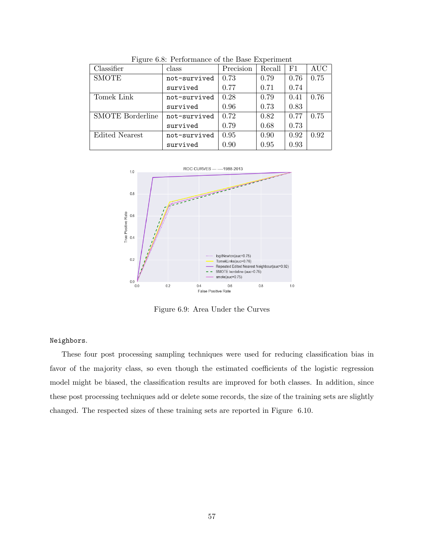| Classifier              | class        | Precision | Recall | F1   | <b>AUC</b> |
|-------------------------|--------------|-----------|--------|------|------------|
| <b>SMOTE</b>            | not-survived | 0.73      | 0.79   | 0.76 | 0.75       |
|                         | survived     | 0.77      | 0.71   | 0.74 |            |
| <b>Tomek Link</b>       | not-survived | 0.28      | 0.79   | 0.41 | 0.76       |
|                         | survived     | 0.96      | 0.73   | 0.83 |            |
| <b>SMOTE</b> Borderline | not-survived | 0.72      | 0.82   | 0.77 | 0.75       |
|                         | survived     | 0.79      | 0.68   | 0.73 |            |
| <b>Edited Nearest</b>   | not-survived | 0.95      | 0.90   | 0.92 | 0.92       |
|                         | survived     | 0.90      | 0.95   | 0.93 |            |

Figure 6.8: Performance of the Base Experiment



Figure 6.9: Area Under the Curves

#### Neighbors.

These four post processing sampling techniques were used for reducing classification bias in favor of the majority class, so even though the estimated coefficients of the logistic regression model might be biased, the classification results are improved for both classes. In addition, since these post processing techniques add or delete some records, the size of the training sets are slightly changed. The respected sizes of these training sets are reported in Figure 6.10.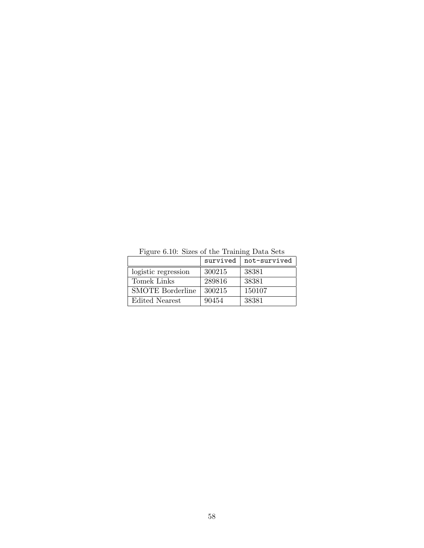|                         | survived | not-survived |
|-------------------------|----------|--------------|
| logistic regression     | 300215   | 38381        |
| Tomek Links             | 289816   | 38381        |
| <b>SMOTE</b> Borderline | 300215   | 150107       |
| Edited Nearest          | 90454    | 38381        |

Figure 6.10: Sizes of the Training Data Sets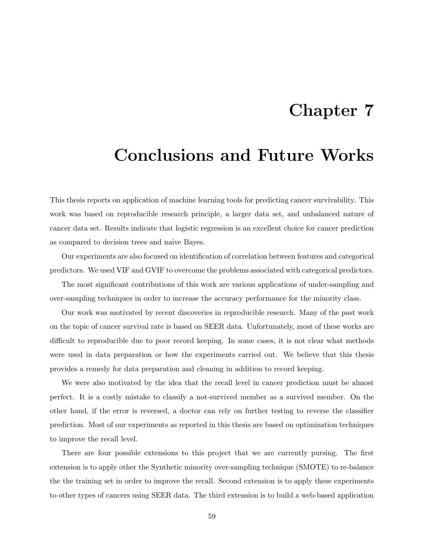# Chapter 7

# Conclusions and Future Works

This thesis reports on application of machine learning tools for predicting cancer survivability. This work was based on reproducible research principle, a larger data set, and unbalanced nature of cancer data set. Results indicate that logistic regression is an excellent choice for cancer prediction as compared to decision trees and naive Bayes.

Our experiments are also focused on identification of correlation between features and categorical predictors. We used VIF and GVIF to overcome the problems associated with categorical predictors.

The most significant contributions of this work are various applications of under-sampling and over-sampling techniques in order to increase the accuracy performance for the minority class.

Our work was motivated by recent discoveries in reproducible research. Many of the past work on the topic of cancer survival rate is based on SEER data. Unfortunately, most of these works are difficult to reproducible due to poor record keeping. In some cases, it is not clear what methods were used in data preparation or how the experiments carried out. We believe that this thesis provides a remedy for data preparation and cleaning in addition to record keeping.

We were also motivated by the idea that the recall level in cancer prediction must be almost perfect. It is a costly mistake to classify a not-survived member as a survived member. On the other hand, if the error is reversed, a doctor can rely on further testing to reverse the classifier prediction. Most of our experiments as reported in this thesis are based on optimization techniques to improve the recall level.

There are four possible extensions to this project that we are currently pursing. The first extension is to apply other the Synthetic minority over-sampling technique (SMOTE) to re-balance the the training set in order to improve the recall. Second extension is to apply these experiments to other types of cancers using SEER data. The third extension is to build a web-based application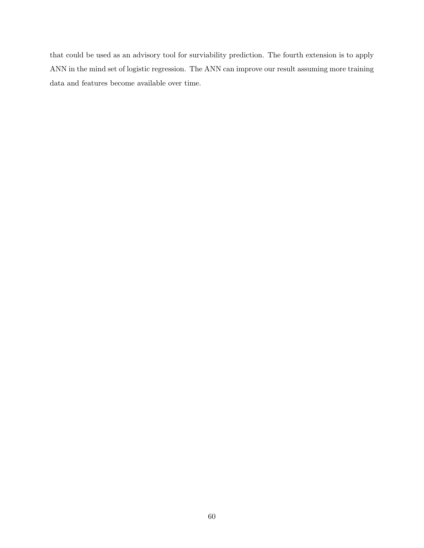that could be used as an advisory tool for surviability prediction. The fourth extension is to apply ANN in the mind set of logistic regression. The ANN can improve our result assuming more training data and features become available over time.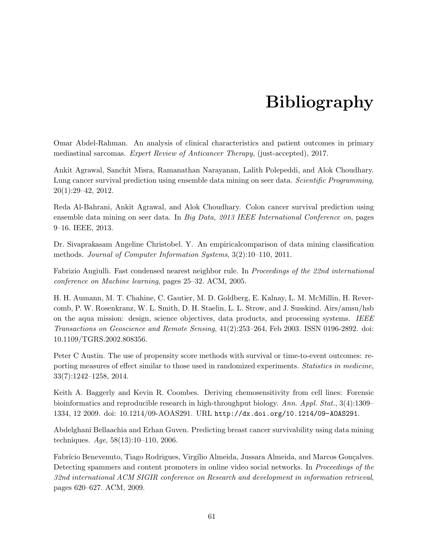## Bibliography

Omar Abdel-Rahman. An analysis of clinical characteristics and patient outcomes in primary mediastinal sarcomas. Expert Review of Anticancer Therapy, (just-accepted), 2017.

Ankit Agrawal, Sanchit Misra, Ramanathan Narayanan, Lalith Polepeddi, and Alok Choudhary. Lung cancer survival prediction using ensemble data mining on seer data. Scientific Programming, 20(1):29–42, 2012.

Reda Al-Bahrani, Ankit Agrawal, and Alok Choudhary. Colon cancer survival prediction using ensemble data mining on seer data. In Big Data, 2013 IEEE International Conference on, pages 9–16. IEEE, 2013.

Dr. Sivaprakasam Angeline Christobel. Y. An empiricalcomparison of data mining classification methods. Journal of Computer Information Systems, 3(2):10–110, 2011.

Fabrizio Angiulli. Fast condensed nearest neighbor rule. In Proceedings of the 22nd international conference on Machine learning, pages 25–32. ACM, 2005.

H. H. Aumann, M. T. Chahine, C. Gautier, M. D. Goldberg, E. Kalnay, L. M. McMillin, H. Revercomb, P. W. Rosenkranz, W. L. Smith, D. H. Staelin, L. L. Strow, and J. Susskind. Airs/amsu/hsb on the aqua mission: design, science objectives, data products, and processing systems. IEEE Transactions on Geoscience and Remote Sensing, 41(2):253–264, Feb 2003. ISSN 0196-2892. doi: 10.1109/TGRS.2002.808356.

Peter C Austin. The use of propensity score methods with survival or time-to-event outcomes: reporting measures of effect similar to those used in randomized experiments. *Statistics in medicine*, 33(7):1242–1258, 2014.

Keith A. Baggerly and Kevin R. Coombes. Deriving chemosensitivity from cell lines: Forensic bioinformatics and reproducible research in high-throughput biology. Ann. Appl. Stat., 3(4):1309– 1334, 12 2009. doi: 10.1214/09-AOAS291. URL http://dx.doi.org/10.1214/09-AOAS291.

Abdelghani Bellaachia and Erhan Guven. Predicting breast cancer survivability using data mining techniques.  $Age, 58(13):10-110, 2006$ .

Fabrício Benevenuto, Tiago Rodrigues, Virgílio Almeida, Jussara Almeida, and Marcos Gonçalves. Detecting spammers and content promoters in online video social networks. In *Proceedings of the* 32nd international ACM SIGIR conference on Research and development in information retrieval, pages 620–627. ACM, 2009.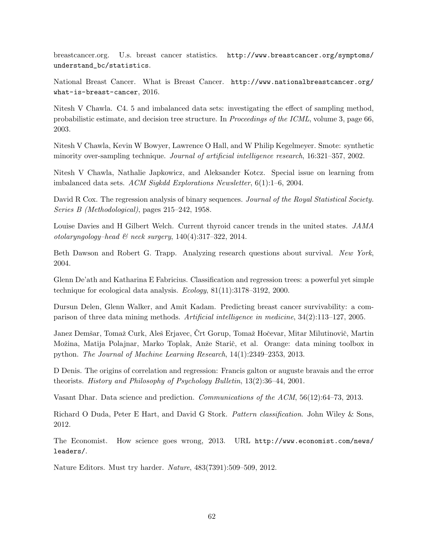breastcancer.org. U.s. breast cancer statistics. http://www.breastcancer.org/symptoms/ understand\_bc/statistics.

National Breast Cancer. What is Breast Cancer. http://www.nationalbreastcancer.org/ what-is-breast-cancer, 2016.

Nitesh V Chawla. C4. 5 and imbalanced data sets: investigating the effect of sampling method, probabilistic estimate, and decision tree structure. In Proceedings of the ICML, volume 3, page 66, 2003.

Nitesh V Chawla, Kevin W Bowyer, Lawrence O Hall, and W Philip Kegelmeyer. Smote: synthetic minority over-sampling technique. Journal of artificial intelligence research, 16:321–357, 2002.

Nitesh V Chawla, Nathalie Japkowicz, and Aleksander Kotcz. Special issue on learning from imbalanced data sets. ACM Sigkdd Explorations Newsletter, 6(1):1–6, 2004.

David R Cox. The regression analysis of binary sequences. Journal of the Royal Statistical Society. Series B (Methodological), pages 215–242, 1958.

Louise Davies and H Gilbert Welch. Current thyroid cancer trends in the united states. JAMA otolaryngology–head & neck surgery,  $140(4):317-322$ , 2014.

Beth Dawson and Robert G. Trapp. Analyzing research questions about survival. New York, 2004.

Glenn De'ath and Katharina E Fabricius. Classification and regression trees: a powerful yet simple technique for ecological data analysis. Ecology, 81(11):3178–3192, 2000.

Dursun Delen, Glenn Walker, and Amit Kadam. Predicting breast cancer survivability: a comparison of three data mining methods. Artificial intelligence in medicine, 34(2):113–127, 2005.

Janez Demšar, Tomaž Curk, Aleš Erjavec, Črt Gorup, Tomaž Hočevar, Mitar Milutinovič, Martin Možina, Matija Polajnar, Marko Toplak, Anže Starič, et al. Orange: data mining toolbox in python. The Journal of Machine Learning Research, 14(1):2349–2353, 2013.

D Denis. The origins of correlation and regression: Francis galton or auguste bravais and the error theorists. History and Philosophy of Psychology Bulletin, 13(2):36–44, 2001.

Vasant Dhar. Data science and prediction. Communications of the ACM, 56(12):64–73, 2013.

Richard O Duda, Peter E Hart, and David G Stork. *Pattern classification*. John Wiley & Sons, 2012.

The Economist. How science goes wrong, 2013. URL http://www.economist.com/news/ leaders/.

Nature Editors. Must try harder. Nature, 483(7391):509–509, 2012.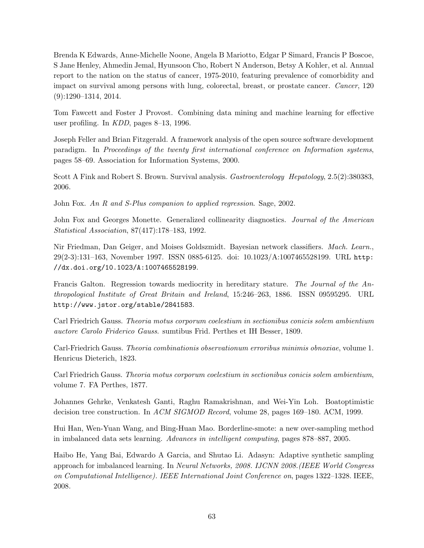Brenda K Edwards, Anne-Michelle Noone, Angela B Mariotto, Edgar P Simard, Francis P Boscoe, S Jane Henley, Ahmedin Jemal, Hyunsoon Cho, Robert N Anderson, Betsy A Kohler, et al. Annual report to the nation on the status of cancer, 1975-2010, featuring prevalence of comorbidity and impact on survival among persons with lung, colorectal, breast, or prostate cancer. Cancer, 120 (9):1290–1314, 2014.

Tom Fawcett and Foster J Provost. Combining data mining and machine learning for effective user profiling. In KDD, pages 8–13, 1996.

Joseph Feller and Brian Fitzgerald. A framework analysis of the open source software development paradigm. In Proceedings of the twenty first international conference on Information systems, pages 58–69. Association for Information Systems, 2000.

Scott A Fink and Robert S. Brown. Survival analysis. Gastroenterology Hepatology, 2.5(2):380383, 2006.

John Fox. An R and S-Plus companion to applied regression. Sage, 2002.

John Fox and Georges Monette. Generalized collinearity diagnostics. Journal of the American Statistical Association, 87(417):178–183, 1992.

Nir Friedman, Dan Geiger, and Moises Goldszmidt. Bayesian network classifiers. Mach. Learn., 29(2-3):131–163, November 1997. ISSN 0885-6125. doi: 10.1023/A:1007465528199. URL http: //dx.doi.org/10.1023/A:1007465528199.

Francis Galton. Regression towards mediocrity in hereditary stature. The Journal of the Anthropological Institute of Great Britain and Ireland, 15:246–263, 1886. ISSN 09595295. URL http://www.jstor.org/stable/2841583.

Carl Friedrich Gauss. Theoria motus corporum coelestium in sectionibus conicis solem ambientium auctore Carolo Friderico Gauss. sumtibus Frid. Perthes et IH Besser, 1809.

Carl-Friedrich Gauss. Theoria combinationis observationum erroribus minimis obnoxiae, volume 1. Henricus Dieterich, 1823.

Carl Friedrich Gauss. Theoria motus corporum coelestium in sectionibus conicis solem ambientium, volume 7. FA Perthes, 1877.

Johannes Gehrke, Venkatesh Ganti, Raghu Ramakrishnan, and Wei-Yin Loh. Boatoptimistic decision tree construction. In ACM SIGMOD Record, volume 28, pages 169–180. ACM, 1999.

Hui Han, Wen-Yuan Wang, and Bing-Huan Mao. Borderline-smote: a new over-sampling method in imbalanced data sets learning. Advances in intelligent computing, pages 878–887, 2005.

Haibo He, Yang Bai, Edwardo A Garcia, and Shutao Li. Adasyn: Adaptive synthetic sampling approach for imbalanced learning. In Neural Networks, 2008. IJCNN 2008.(IEEE World Congress on Computational Intelligence). IEEE International Joint Conference on, pages 1322–1328. IEEE, 2008.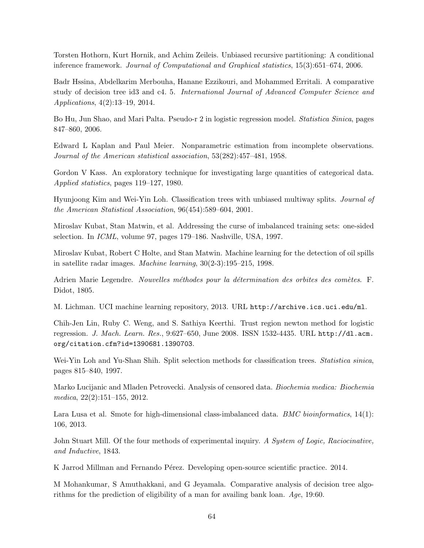Torsten Hothorn, Kurt Hornik, and Achim Zeileis. Unbiased recursive partitioning: A conditional inference framework. Journal of Computational and Graphical statistics, 15(3):651–674, 2006.

Badr Hssina, Abdelkarim Merbouha, Hanane Ezzikouri, and Mohammed Erritali. A comparative study of decision tree id3 and c4. 5. International Journal of Advanced Computer Science and Applications, 4(2):13–19, 2014.

Bo Hu, Jun Shao, and Mari Palta. Pseudo-r 2 in logistic regression model. Statistica Sinica, pages 847–860, 2006.

Edward L Kaplan and Paul Meier. Nonparametric estimation from incomplete observations. Journal of the American statistical association, 53(282):457–481, 1958.

Gordon V Kass. An exploratory technique for investigating large quantities of categorical data. Applied statistics, pages 119–127, 1980.

Hyunjoong Kim and Wei-Yin Loh. Classification trees with unbiased multiway splits. Journal of the American Statistical Association, 96(454):589–604, 2001.

Miroslav Kubat, Stan Matwin, et al. Addressing the curse of imbalanced training sets: one-sided selection. In ICML, volume 97, pages 179–186. Nashville, USA, 1997.

Miroslav Kubat, Robert C Holte, and Stan Matwin. Machine learning for the detection of oil spills in satellite radar images. Machine learning, 30(2-3):195–215, 1998.

Adrien Marie Legendre. Nouvelles méthodes pour la détermination des orbites des comètes. F. Didot, 1805.

M. Lichman. UCI machine learning repository, 2013. URL http://archive.ics.uci.edu/ml.

Chih-Jen Lin, Ruby C. Weng, and S. Sathiya Keerthi. Trust region newton method for logistic regression. J. Mach. Learn. Res., 9:627–650, June 2008. ISSN 1532-4435. URL http://dl.acm. org/citation.cfm?id=1390681.1390703.

Wei-Yin Loh and Yu-Shan Shih. Split selection methods for classification trees. *Statistica sinica*, pages 815–840, 1997.

Marko Lucijanic and Mladen Petrovecki. Analysis of censored data. Biochemia medica: Biochemia medica, 22(2):151–155, 2012.

Lara Lusa et al. Smote for high-dimensional class-imbalanced data. *BMC bioinformatics*,  $14(1)$ : 106, 2013.

John Stuart Mill. Of the four methods of experimental inquiry. A System of Logic, Raciocinative, and Inductive, 1843.

K Jarrod Millman and Fernando Pérez. Developing open-source scientific practice. 2014.

M Mohankumar, S Amuthakkani, and G Jeyamala. Comparative analysis of decision tree algorithms for the prediction of eligibility of a man for availing bank loan. Age, 19:60.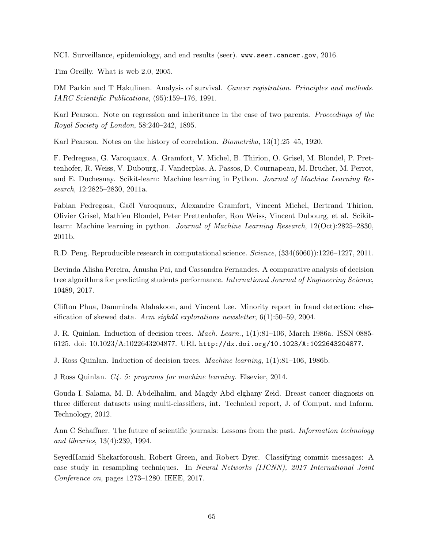NCI. Surveillance, epidemiology, and end results (seer). www.seer.cancer.gov, 2016.

Tim Oreilly. What is web 2.0, 2005.

DM Parkin and T Hakulinen. Analysis of survival. Cancer registration. Principles and methods. IARC Scientific Publications, (95):159–176, 1991.

Karl Pearson. Note on regression and inheritance in the case of two parents. *Proceedings of the* Royal Society of London, 58:240–242, 1895.

Karl Pearson. Notes on the history of correlation. Biometrika, 13(1):25–45, 1920.

F. Pedregosa, G. Varoquaux, A. Gramfort, V. Michel, B. Thirion, O. Grisel, M. Blondel, P. Prettenhofer, R. Weiss, V. Dubourg, J. Vanderplas, A. Passos, D. Cournapeau, M. Brucher, M. Perrot, and E. Duchesnay. Scikit-learn: Machine learning in Python. Journal of Machine Learning Research, 12:2825–2830, 2011a.

Fabian Pedregosa, Gaël Varoquaux, Alexandre Gramfort, Vincent Michel, Bertrand Thirion, Olivier Grisel, Mathieu Blondel, Peter Prettenhofer, Ron Weiss, Vincent Dubourg, et al. Scikitlearn: Machine learning in python. Journal of Machine Learning Research, 12(Oct):2825–2830, 2011b.

R.D. Peng. Reproducible research in computational science. Science, (334(6060)):1226–1227, 2011.

Bevinda Alisha Pereira, Anusha Pai, and Cassandra Fernandes. A comparative analysis of decision tree algorithms for predicting students performance. *International Journal of Engineering Science*, 10489, 2017.

Clifton Phua, Damminda Alahakoon, and Vincent Lee. Minority report in fraud detection: classification of skewed data. Acm sigkdd explorations newsletter,  $6(1):50-59$ , 2004.

J. R. Quinlan. Induction of decision trees. Mach. Learn., 1(1):81–106, March 1986a. ISSN 0885- 6125. doi: 10.1023/A:1022643204877. URL http://dx.doi.org/10.1023/A:1022643204877.

J. Ross Quinlan. Induction of decision trees. Machine learning, 1(1):81–106, 1986b.

J Ross Quinlan. C4. 5: programs for machine learning. Elsevier, 2014.

Gouda I. Salama, M. B. Abdelhalim, and Magdy Abd elghany Zeid. Breast cancer diagnosis on three different datasets using multi-classifiers, int. Technical report, J. of Comput. and Inform. Technology, 2012.

Ann C Schaffner. The future of scientific journals: Lessons from the past. *Information technology* and libraries, 13(4):239, 1994.

SeyedHamid Shekarforoush, Robert Green, and Robert Dyer. Classifying commit messages: A case study in resampling techniques. In Neural Networks (IJCNN), 2017 International Joint Conference on, pages 1273–1280. IEEE, 2017.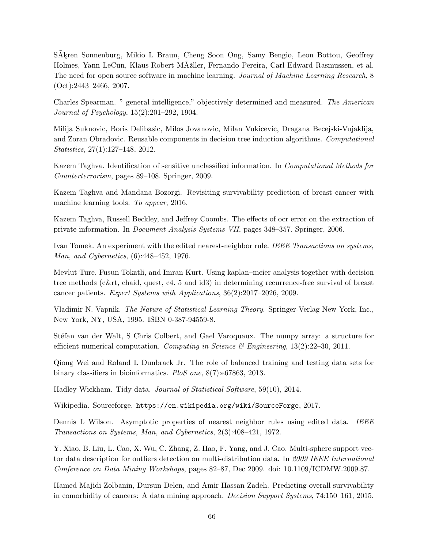SAkren Sonnenburg, Mikio L Braun, Cheng Soon Ong, Samy Bengio, Leon Bottou, Geoffrey Holmes, Yann LeCun, Klaus-Robert MÄžller, Fernando Pereira, Carl Edward Rasmussen, et al. The need for open source software in machine learning. Journal of Machine Learning Research, 8  $(Oct):2443-2466, 2007.$ 

Charles Spearman. " general intelligence," objectively determined and measured. The American Journal of Psychology, 15(2):201–292, 1904.

Milija Suknovic, Boris Delibasic, Milos Jovanovic, Milan Vukicevic, Dragana Becejski-Vujaklija, and Zoran Obradovic. Reusable components in decision tree induction algorithms. Computational Statistics, 27(1):127–148, 2012.

Kazem Taghva. Identification of sensitive unclassified information. In Computational Methods for Counterterrorism, pages 89–108. Springer, 2009.

Kazem Taghva and Mandana Bozorgi. Revisiting survivability prediction of breast cancer with machine learning tools. To appear, 2016.

Kazem Taghva, Russell Beckley, and Jeffrey Coombs. The effects of ocr error on the extraction of private information. In Document Analysis Systems VII, pages 348–357. Springer, 2006.

Ivan Tomek. An experiment with the edited nearest-neighbor rule. IEEE Transactions on systems, Man, and Cybernetics, (6):448–452, 1976.

Mevlut Ture, Fusun Tokatli, and Imran Kurt. Using kaplan–meier analysis together with decision tree methods (c&rt, chaid, quest, c4. 5 and id3) in determining recurrence-free survival of breast cancer patients. Expert Systems with Applications, 36(2):2017–2026, 2009.

Vladimir N. Vapnik. The Nature of Statistical Learning Theory. Springer-Verlag New York, Inc., New York, NY, USA, 1995. ISBN 0-387-94559-8.

Stéfan van der Walt, S Chris Colbert, and Gael Varoquaux. The numpy array: a structure for efficient numerical computation. Computing in Science & Engineering,  $13(2):22-30$ ,  $2011$ .

Qiong Wei and Roland L Dunbrack Jr. The role of balanced training and testing data sets for binary classifiers in bioinformatics. PloS one, 8(7):e67863, 2013.

Hadley Wickham. Tidy data. Journal of Statistical Software, 59(10), 2014.

Wikipedia. Sourceforge. https://en.wikipedia.org/wiki/SourceForge, 2017.

Dennis L Wilson. Asymptotic properties of nearest neighbor rules using edited data. IEEE Transactions on Systems, Man, and Cybernetics, 2(3):408–421, 1972.

Y. Xiao, B. Liu, L. Cao, X. Wu, C. Zhang, Z. Hao, F. Yang, and J. Cao. Multi-sphere support vector data description for outliers detection on multi-distribution data. In 2009 IEEE International Conference on Data Mining Workshops, pages 82–87, Dec 2009. doi: 10.1109/ICDMW.2009.87.

Hamed Majidi Zolbanin, Dursun Delen, and Amir Hassan Zadeh. Predicting overall survivability in comorbidity of cancers: A data mining approach. Decision Support Systems, 74:150–161, 2015.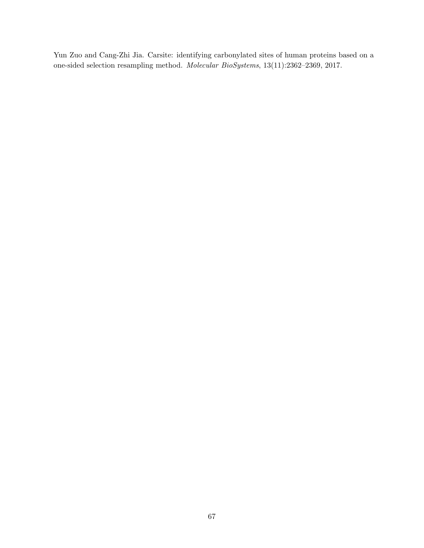Yun Zuo and Cang-Zhi Jia. Carsite: identifying carbonylated sites of human proteins based on a one-sided selection resampling method. Molecular BioSystems, 13(11):2362–2369, 2017.